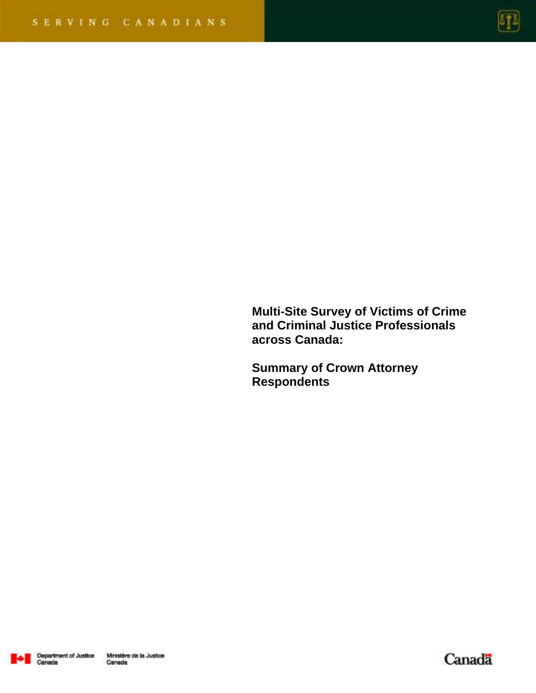

**Multi-Site Survey of Victims of Crime and Criminal Justice Professionals across Canada:** 

**Summary of Crown Attorney Respondents** 



Canada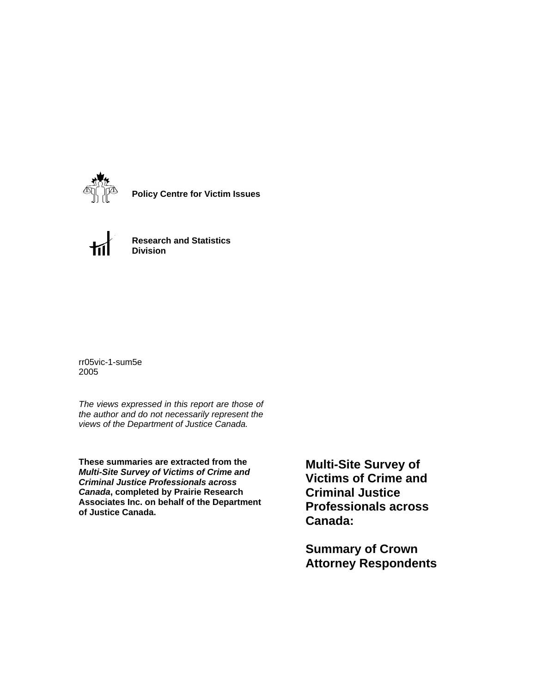

**Policy Centre for Victim Issues**



**Research and Statistics Division**

rr05vic-1-sum5e 2005

*The views expressed in this report are those of the author and do not necessarily represent the views of the Department of Justice Canada.*

**These summaries are extracted from the**  *Multi-Site Survey of Victims of Crime and Criminal Justice Professionals across Canada***, completed by Prairie Research Associates Inc. on behalf of the Department of Justice Canada.**

**Multi-Site Survey of Victims of Crime and Criminal Justice Professionals across Canada:** 

**Summary of Crown Attorney Respondents**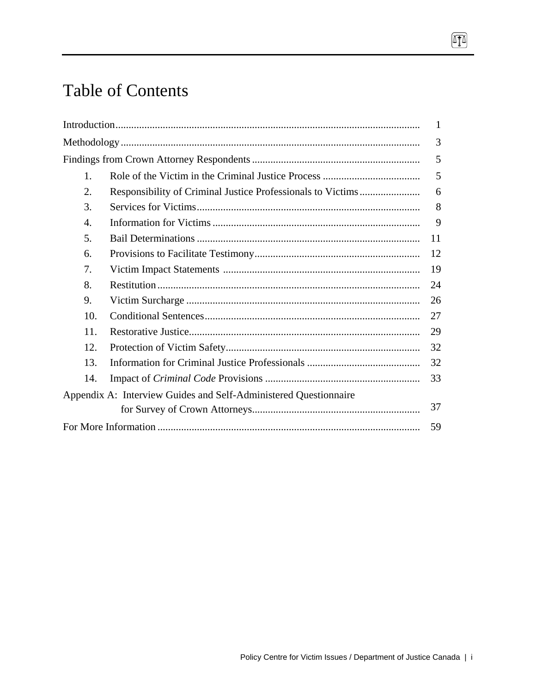# Table of Contents

|     |                                                                  | 1  |
|-----|------------------------------------------------------------------|----|
|     |                                                                  | 3  |
|     |                                                                  | 5  |
| 1.  |                                                                  | 5  |
| 2.  |                                                                  | 6  |
| 3.  |                                                                  | 8  |
| 4.  |                                                                  | 9  |
| 5.  |                                                                  | 11 |
| 6.  |                                                                  | 12 |
| 7.  |                                                                  | 19 |
| 8.  |                                                                  | 24 |
| 9.  |                                                                  | 26 |
| 10. |                                                                  | 27 |
| 11. |                                                                  | 29 |
| 12. |                                                                  | 32 |
| 13. |                                                                  | 32 |
| 14. |                                                                  | 33 |
|     | Appendix A: Interview Guides and Self-Administered Questionnaire |    |
|     |                                                                  | 37 |
|     |                                                                  | 59 |

 $\boxed{\text{I}}$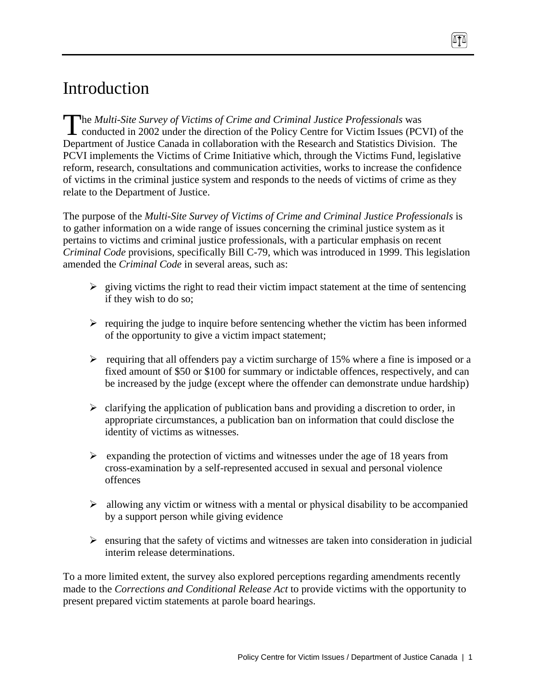# Introduction

he *Multi-Site Survey of Victims of Crime and Criminal Justice Professionals* was The Multi-Site Survey of Victims of Crime and Criminal Justice Professionals was<br>conducted in 2002 under the direction of the Policy Centre for Victim Issues (PCVI) of the Department of Justice Canada in collaboration with the Research and Statistics Division. The PCVI implements the Victims of Crime Initiative which, through the Victims Fund, legislative reform, research, consultations and communication activities, works to increase the confidence of victims in the criminal justice system and responds to the needs of victims of crime as they relate to the Department of Justice.

The purpose of the *Multi-Site Survey of Victims of Crime and Criminal Justice Professionals* is to gather information on a wide range of issues concerning the criminal justice system as it pertains to victims and criminal justice professionals, with a particular emphasis on recent *Criminal Code* provisions, specifically Bill C-79, which was introduced in 1999. This legislation amended the *Criminal Code* in several areas, such as:

- $\triangleright$  giving victims the right to read their victim impact statement at the time of sentencing if they wish to do so;
- $\triangleright$  requiring the judge to inquire before sentencing whether the victim has been informed of the opportunity to give a victim impact statement;
- $\triangleright$  requiring that all offenders pay a victim surcharge of 15% where a fine is imposed or a fixed amount of \$50 or \$100 for summary or indictable offences, respectively, and can be increased by the judge (except where the offender can demonstrate undue hardship)
- $\triangleright$  clarifying the application of publication bans and providing a discretion to order, in appropriate circumstances, a publication ban on information that could disclose the identity of victims as witnesses.
- $\triangleright$  expanding the protection of victims and witnesses under the age of 18 years from cross-examination by a self-represented accused in sexual and personal violence offences
- $\triangleright$  allowing any victim or witness with a mental or physical disability to be accompanied by a support person while giving evidence
- $\triangleright$  ensuring that the safety of victims and witnesses are taken into consideration in judicial interim release determinations.

To a more limited extent, the survey also explored perceptions regarding amendments recently made to the *Corrections and Conditional Release Act* to provide victims with the opportunity to present prepared victim statements at parole board hearings.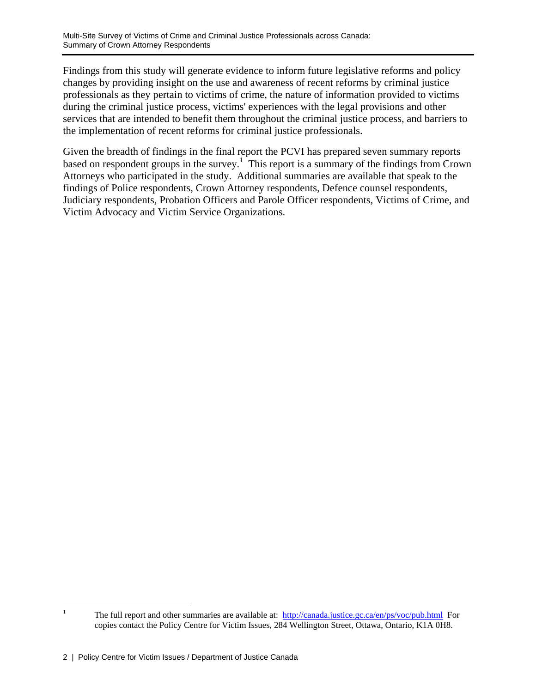Findings from this study will generate evidence to inform future legislative reforms and policy changes by providing insight on the use and awareness of recent reforms by criminal justice professionals as they pertain to victims of crime, the nature of information provided to victims during the criminal justice process, victims' experiences with the legal provisions and other services that are intended to benefit them throughout the criminal justice process, and barriers to the implementation of recent reforms for criminal justice professionals.

Given the breadth of findings in the final report the PCVI has prepared seven summary reports based on respondent groups in the survey.<sup>1</sup> This report is a summary of the findings from Crown Attorneys who participated in the study. Additional summaries are available that speak to the findings of Police respondents, Crown Attorney respondents, Defence counsel respondents, Judiciary respondents, Probation Officers and Parole Officer respondents, Victims of Crime, and Victim Advocacy and Victim Service Organizations.

 $\frac{1}{1}$ The full report and other summaries are available at: http://canada.justice.gc.ca/en/ps/voc/pub.html For copies contact the Policy Centre for Victim Issues, 284 Wellington Street, Ottawa, Ontario, K1A 0H8.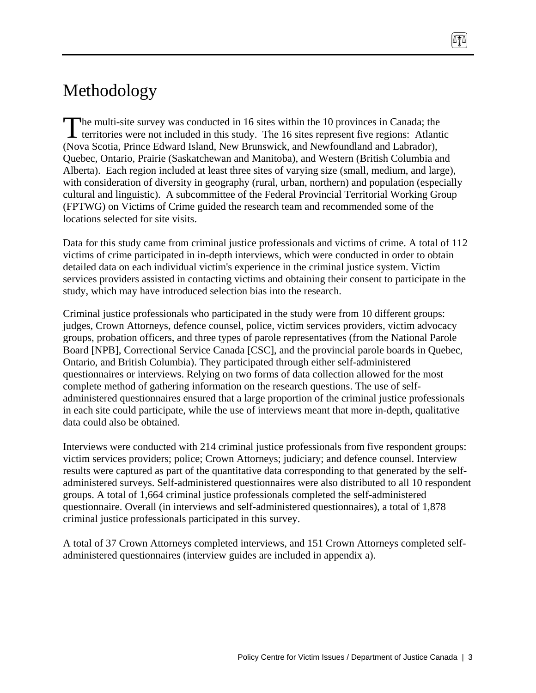# Methodology

he multi-site survey was conducted in 16 sites within the 10 provinces in Canada; the territories were not included in this study. The 16 sites represent five regions: Atlantic (Nova Scotia, Prince Edward Island, New Brunswick, and Newfoundland and Labrador), Quebec, Ontario, Prairie (Saskatchewan and Manitoba), and Western (British Columbia and Alberta). Each region included at least three sites of varying size (small, medium, and large), with consideration of diversity in geography (rural, urban, northern) and population (especially cultural and linguistic). A subcommittee of the Federal Provincial Territorial Working Group (FPTWG) on Victims of Crime guided the research team and recommended some of the locations selected for site visits.  $\int_{0}^{\frac{1}{x}}$ 

Data for this study came from criminal justice professionals and victims of crime. A total of 112 victims of crime participated in in-depth interviews, which were conducted in order to obtain detailed data on each individual victim's experience in the criminal justice system. Victim services providers assisted in contacting victims and obtaining their consent to participate in the study, which may have introduced selection bias into the research.

Criminal justice professionals who participated in the study were from 10 different groups: judges, Crown Attorneys, defence counsel, police, victim services providers, victim advocacy groups, probation officers, and three types of parole representatives (from the National Parole Board [NPB], Correctional Service Canada [CSC], and the provincial parole boards in Quebec, Ontario, and British Columbia). They participated through either self-administered questionnaires or interviews. Relying on two forms of data collection allowed for the most complete method of gathering information on the research questions. The use of selfadministered questionnaires ensured that a large proportion of the criminal justice professionals in each site could participate, while the use of interviews meant that more in-depth, qualitative data could also be obtained.

Interviews were conducted with 214 criminal justice professionals from five respondent groups: victim services providers; police; Crown Attorneys; judiciary; and defence counsel. Interview results were captured as part of the quantitative data corresponding to that generated by the selfadministered surveys. Self-administered questionnaires were also distributed to all 10 respondent groups. A total of 1,664 criminal justice professionals completed the self-administered questionnaire. Overall (in interviews and self-administered questionnaires), a total of 1,878 criminal justice professionals participated in this survey.

A total of 37 Crown Attorneys completed interviews, and 151 Crown Attorneys completed selfadministered questionnaires (interview guides are included in appendix a).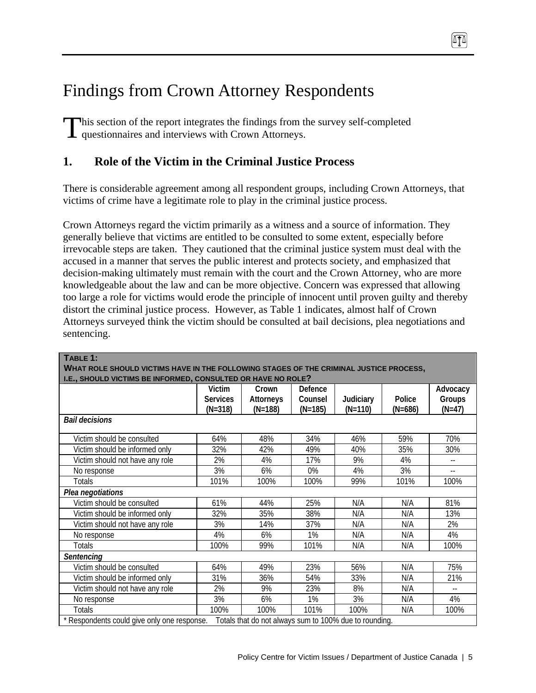# Findings from Crown Attorney Respondents

This section of the report integrates the findings from the survey self-completed questionnaires and interviews with Crown Attorneys. questionnaires and interviews with Crown Attorneys.

## **1. Role of the Victim in the Criminal Justice Process**

There is considerable agreement among all respondent groups, including Crown Attorneys, that victims of crime have a legitimate role to play in the criminal justice process.

Crown Attorneys regard the victim primarily as a witness and a source of information. They generally believe that victims are entitled to be consulted to some extent, especially before irrevocable steps are taken. They cautioned that the criminal justice system must deal with the accused in a manner that serves the public interest and protects society, and emphasized that decision-making ultimately must remain with the court and the Crown Attorney, who are more knowledgeable about the law and can be more objective. Concern was expressed that allowing too large a role for victims would erode the principle of innocent until proven guilty and thereby distort the criminal justice process. However, as Table 1 indicates, almost half of Crown Attorneys surveyed think the victim should be consulted at bail decisions, plea negotiations and sentencing.

| TABLE 1:<br>WHAT ROLE SHOULD VICTIMS HAVE IN THE FOLLOWING STAGES OF THE CRIMINAL JUSTICE PROCESS,<br>I.E., SHOULD VICTIMS BE INFORMED, CONSULTED OR HAVE NO ROLE? |                                        |                                        |                                 |                        |                     |                                |  |
|--------------------------------------------------------------------------------------------------------------------------------------------------------------------|----------------------------------------|----------------------------------------|---------------------------------|------------------------|---------------------|--------------------------------|--|
|                                                                                                                                                                    | Victim<br><b>Services</b><br>$(N=318)$ | Crown<br><b>Attorneys</b><br>$(N=188)$ | Defence<br>Counsel<br>$(N=185)$ | Judiciary<br>$(N=110)$ | Police<br>$(N=686)$ | Advocacy<br>Groups<br>$(N=47)$ |  |
| <b>Bail decisions</b>                                                                                                                                              |                                        |                                        |                                 |                        |                     |                                |  |
| Victim should be consulted                                                                                                                                         | 64%                                    | 48%                                    | 34%                             | 46%                    | 59%                 | 70%                            |  |
| Victim should be informed only                                                                                                                                     | 32%                                    | 42%                                    | 49%                             | 40%                    | 35%                 | 30%                            |  |
| Victim should not have any role                                                                                                                                    | 2%                                     | 4%                                     | 17%                             | 9%                     | 4%                  | $- -$                          |  |
| No response                                                                                                                                                        | 3%                                     | 6%                                     | 0%                              | 4%                     | 3%                  |                                |  |
| Totals                                                                                                                                                             | 101%                                   | 100%                                   | 100%                            | 99%                    | 101%                | 100%                           |  |
| Plea negotiations                                                                                                                                                  |                                        |                                        |                                 |                        |                     |                                |  |
| Victim should be consulted                                                                                                                                         | 61%                                    | 44%                                    | 25%                             | N/A                    | N/A                 | 81%                            |  |
| Victim should be informed only                                                                                                                                     | 32%                                    | 35%                                    | 38%                             | N/A                    | N/A                 | 13%                            |  |
| Victim should not have any role                                                                                                                                    | 3%                                     | 14%                                    | 37%                             | N/A                    | N/A                 | 2%                             |  |
| No response                                                                                                                                                        | 4%                                     | 6%                                     | 1%                              | N/A                    | N/A                 | 4%                             |  |
| Totals                                                                                                                                                             | 100%                                   | 99%                                    | 101%                            | N/A                    | N/A                 | 100%                           |  |
| Sentencina                                                                                                                                                         |                                        |                                        |                                 |                        |                     |                                |  |
| Victim should be consulted                                                                                                                                         | 64%                                    | 49%                                    | 23%                             | 56%                    | N/A                 | 75%                            |  |
| Victim should be informed only                                                                                                                                     | 31%                                    | 36%                                    | 54%                             | 33%                    | N/A                 | 21%                            |  |
| Victim should not have any role                                                                                                                                    | 2%                                     | 9%                                     | 23%                             | 8%                     | N/A                 |                                |  |
| No response                                                                                                                                                        | 3%                                     | 6%                                     | 1%                              | 3%                     | N/A                 | 4%                             |  |
| <b>Totals</b>                                                                                                                                                      | 100%                                   | 100%                                   | 101%                            | 100%                   | N/A                 | 100%                           |  |
| * Respondents could give only one response.<br>Totals that do not always sum to 100% due to rounding.                                                              |                                        |                                        |                                 |                        |                     |                                |  |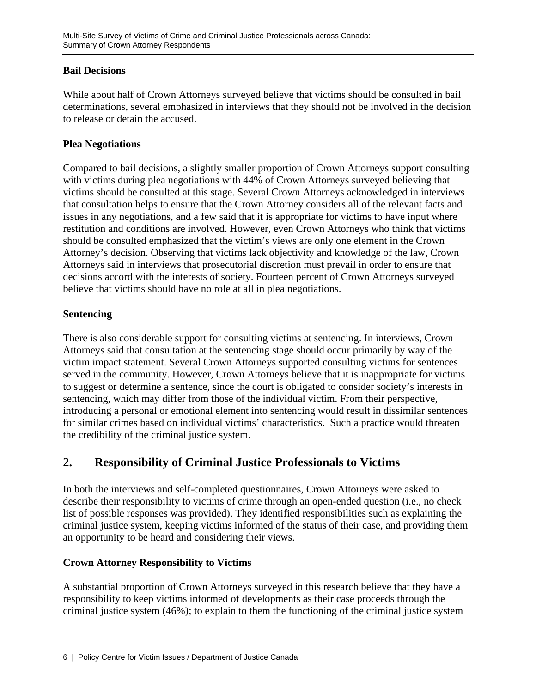#### **Bail Decisions**

While about half of Crown Attorneys surveyed believe that victims should be consulted in bail determinations, several emphasized in interviews that they should not be involved in the decision to release or detain the accused.

#### **Plea Negotiations**

Compared to bail decisions, a slightly smaller proportion of Crown Attorneys support consulting with victims during plea negotiations with 44% of Crown Attorneys surveyed believing that victims should be consulted at this stage. Several Crown Attorneys acknowledged in interviews that consultation helps to ensure that the Crown Attorney considers all of the relevant facts and issues in any negotiations, and a few said that it is appropriate for victims to have input where restitution and conditions are involved. However, even Crown Attorneys who think that victims should be consulted emphasized that the victim's views are only one element in the Crown Attorney's decision. Observing that victims lack objectivity and knowledge of the law, Crown Attorneys said in interviews that prosecutorial discretion must prevail in order to ensure that decisions accord with the interests of society. Fourteen percent of Crown Attorneys surveyed believe that victims should have no role at all in plea negotiations.

#### **Sentencing**

There is also considerable support for consulting victims at sentencing. In interviews, Crown Attorneys said that consultation at the sentencing stage should occur primarily by way of the victim impact statement. Several Crown Attorneys supported consulting victims for sentences served in the community. However, Crown Attorneys believe that it is inappropriate for victims to suggest or determine a sentence, since the court is obligated to consider society's interests in sentencing, which may differ from those of the individual victim. From their perspective, introducing a personal or emotional element into sentencing would result in dissimilar sentences for similar crimes based on individual victims' characteristics. Such a practice would threaten the credibility of the criminal justice system.

# **2. Responsibility of Criminal Justice Professionals to Victims**

In both the interviews and self-completed questionnaires, Crown Attorneys were asked to describe their responsibility to victims of crime through an open-ended question (i.e., no check list of possible responses was provided). They identified responsibilities such as explaining the criminal justice system, keeping victims informed of the status of their case, and providing them an opportunity to be heard and considering their views.

## **Crown Attorney Responsibility to Victims**

A substantial proportion of Crown Attorneys surveyed in this research believe that they have a responsibility to keep victims informed of developments as their case proceeds through the criminal justice system (46%); to explain to them the functioning of the criminal justice system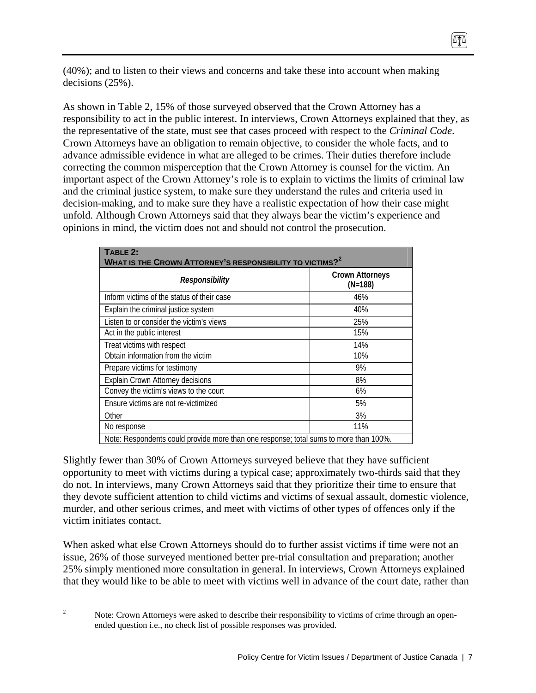(40%); and to listen to their views and concerns and take these into account when making decisions (25%).

ITI

As shown in Table 2, 15% of those surveyed observed that the Crown Attorney has a responsibility to act in the public interest. In interviews, Crown Attorneys explained that they, as the representative of the state, must see that cases proceed with respect to the *Criminal Code*. Crown Attorneys have an obligation to remain objective, to consider the whole facts, and to advance admissible evidence in what are alleged to be crimes. Their duties therefore include correcting the common misperception that the Crown Attorney is counsel for the victim. An important aspect of the Crown Attorney's role is to explain to victims the limits of criminal law and the criminal justice system, to make sure they understand the rules and criteria used in decision-making, and to make sure they have a realistic expectation of how their case might unfold. Although Crown Attorneys said that they always bear the victim's experience and opinions in mind, the victim does not and should not control the prosecution.

| TABLE 2:<br>WHAT IS THE CROWN ATTORNEY'S RESPONSIBILITY TO VICTIMS? $\rm ^2$          |                                     |  |  |  |
|---------------------------------------------------------------------------------------|-------------------------------------|--|--|--|
| Responsibility                                                                        | <b>Crown Attorneys</b><br>$(N=188)$ |  |  |  |
| Inform victims of the status of their case                                            | 46%                                 |  |  |  |
| Explain the criminal justice system                                                   | 40%                                 |  |  |  |
| Listen to or consider the victim's views                                              | 25%                                 |  |  |  |
| Act in the public interest                                                            | 15%                                 |  |  |  |
| Treat victims with respect                                                            | 14%                                 |  |  |  |
| Obtain information from the victim                                                    | 10%                                 |  |  |  |
| Prepare victims for testimony                                                         | 9%                                  |  |  |  |
| Explain Crown Attorney decisions                                                      | 8%                                  |  |  |  |
| Convey the victim's views to the court                                                | 6%                                  |  |  |  |
| Ensure victims are not re-victimized                                                  | 5%                                  |  |  |  |
| Other                                                                                 | 3%                                  |  |  |  |
| No response                                                                           | 11%                                 |  |  |  |
| Note: Respondents could provide more than one response; total sums to more than 100%. |                                     |  |  |  |

Slightly fewer than 30% of Crown Attorneys surveyed believe that they have sufficient opportunity to meet with victims during a typical case; approximately two-thirds said that they do not. In interviews, many Crown Attorneys said that they prioritize their time to ensure that they devote sufficient attention to child victims and victims of sexual assault, domestic violence, murder, and other serious crimes, and meet with victims of other types of offences only if the victim initiates contact.

When asked what else Crown Attorneys should do to further assist victims if time were not an issue, 26% of those surveyed mentioned better pre-trial consultation and preparation; another 25% simply mentioned more consultation in general. In interviews, Crown Attorneys explained that they would like to be able to meet with victims well in advance of the court date, rather than

 $\frac{1}{2}$ 

Note: Crown Attorneys were asked to describe their responsibility to victims of crime through an openended question i.e., no check list of possible responses was provided.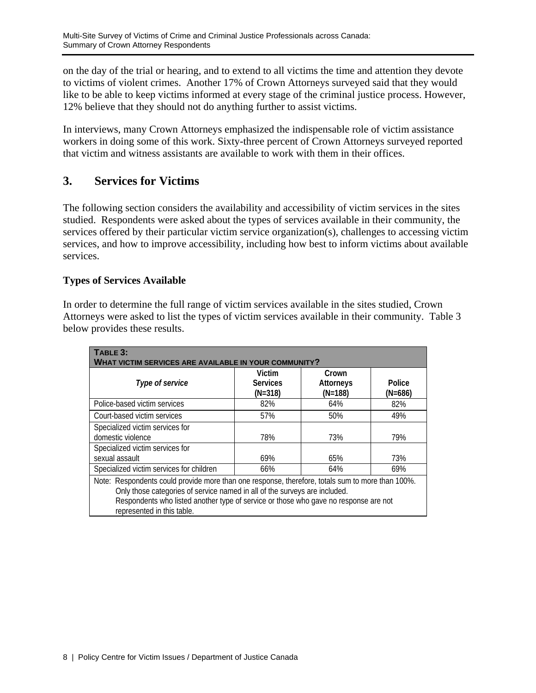on the day of the trial or hearing, and to extend to all victims the time and attention they devote to victims of violent crimes. Another 17% of Crown Attorneys surveyed said that they would like to be able to keep victims informed at every stage of the criminal justice process. However, 12% believe that they should not do anything further to assist victims.

In interviews, many Crown Attorneys emphasized the indispensable role of victim assistance workers in doing some of this work. Sixty-three percent of Crown Attorneys surveyed reported that victim and witness assistants are available to work with them in their offices.

## **3. Services for Victims**

The following section considers the availability and accessibility of victim services in the sites studied. Respondents were asked about the types of services available in their community, the services offered by their particular victim service organization(s), challenges to accessing victim services, and how to improve accessibility, including how best to inform victims about available services.

#### **Types of Services Available**

In order to determine the full range of victim services available in the sites studied, Crown Attorneys were asked to list the types of victim services available in their community. Table 3 below provides these results.

| TABLE 3:<br>WHAT VICTIM SERVICES ARE AVAILABLE IN YOUR COMMUNITY?                                                                                                                                                                                                                                    |                                        |                                 |                     |  |  |
|------------------------------------------------------------------------------------------------------------------------------------------------------------------------------------------------------------------------------------------------------------------------------------------------------|----------------------------------------|---------------------------------|---------------------|--|--|
| Type of service                                                                                                                                                                                                                                                                                      | Victim<br><b>Services</b><br>$(N=318)$ | Crown<br>Attorneys<br>$(N=188)$ | Police<br>$(N=686)$ |  |  |
| Police-based victim services                                                                                                                                                                                                                                                                         | 82%                                    | 64%                             | 82%                 |  |  |
| Court-based victim services                                                                                                                                                                                                                                                                          | 57%                                    | 50%                             | 49%                 |  |  |
| Specialized victim services for<br>domestic violence                                                                                                                                                                                                                                                 | 78%                                    | 73%                             | 79%                 |  |  |
| Specialized victim services for<br>sexual assault                                                                                                                                                                                                                                                    | 69%                                    | 65%                             | 73%                 |  |  |
| Specialized victim services for children                                                                                                                                                                                                                                                             | 66%                                    | 64%                             | 69%                 |  |  |
| Note: Respondents could provide more than one response, therefore, totals sum to more than 100%.<br>Only those categories of service named in all of the surveys are included.<br>Respondents who listed another type of service or those who gave no response are not<br>represented in this table. |                                        |                                 |                     |  |  |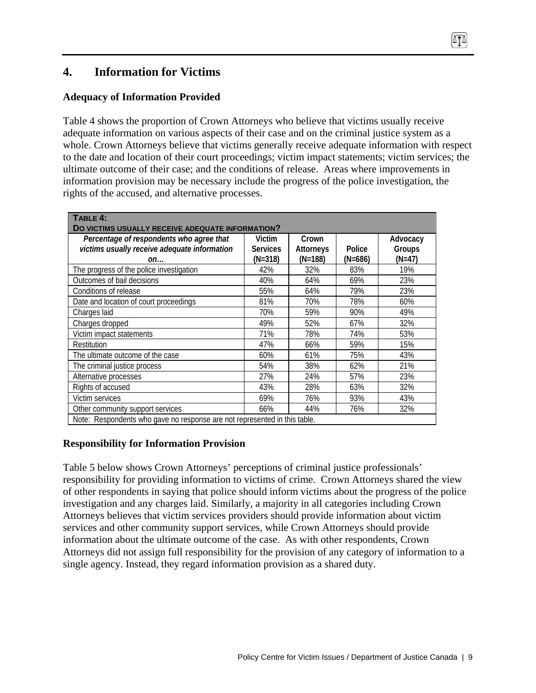# **4. Information for Victims**

#### **Adequacy of Information Provided**

Table 4 shows the proportion of Crown Attorneys who believe that victims usually receive adequate information on various aspects of their case and on the criminal justice system as a whole. Crown Attorneys believe that victims generally receive adequate information with respect to the date and location of their court proceedings; victim impact statements; victim services; the ultimate outcome of their case; and the conditions of release. Areas where improvements in information provision may be necessary include the progress of the police investigation, the rights of the accused, and alternative processes.

| TABLE 4:                                                                 |                 |                  |         |          |  |
|--------------------------------------------------------------------------|-----------------|------------------|---------|----------|--|
| DO VICTIMS USUALLY RECEIVE ADEQUATE INFORMATION?                         |                 |                  |         |          |  |
| Percentage of respondents who agree that                                 | Victim          | Crown            |         | Advocacy |  |
| victims usually receive adequate information                             | <b>Services</b> | <b>Attorneys</b> | Police  | Groups   |  |
| on                                                                       | (N=318)         | (N=188)          | (N=686) | (N=47)   |  |
| The progress of the police investigation                                 | 42%             | 32%              | 83%     | 19%      |  |
| Outcomes of bail decisions                                               | 40%             | 64%              | 69%     | 23%      |  |
| Conditions of release                                                    | 55%             | 64%              | 79%     | 23%      |  |
| Date and location of court proceedings                                   | 81%             | 70%              | 78%     | 60%      |  |
| Charges laid                                                             | 70%             | 59%              | 90%     | 49%      |  |
| Charges dropped                                                          | 49%             | 52%              | 67%     | 32%      |  |
| Victim impact statements                                                 | 71%             | 78%              | 74%     | 53%      |  |
| Restitution                                                              | 47%             | 66%              | 59%     | 15%      |  |
| The ultimate outcome of the case                                         | 60%             | 61%              | 75%     | 43%      |  |
| The criminal justice process                                             | 54%             | 38%              | 62%     | 21%      |  |
| Alternative processes                                                    | 27%             | 24%              | 57%     | 23%      |  |
| Rights of accused                                                        | 43%             | 28%              | 63%     | 32%      |  |
| Victim services                                                          | 69%             | 76%              | 93%     | 43%      |  |
| Other community support services                                         | 66%             | 44%              | 76%     | 32%      |  |
| Noto: Pospondonts who gave no response are not represented in this table |                 |                  |         |          |  |

Note: Respondents who gave no response are not represented in this table.

## **Responsibility for Information Provision**

Table 5 below shows Crown Attorneys' perceptions of criminal justice professionals' responsibility for providing information to victims of crime. Crown Attorneys shared the view of other respondents in saying that police should inform victims about the progress of the police investigation and any charges laid. Similarly, a majority in all categories including Crown Attorneys believes that victim services providers should provide information about victim services and other community support services, while Crown Attorneys should provide information about the ultimate outcome of the case. As with other respondents, Crown Attorneys did not assign full responsibility for the provision of any category of information to a single agency. Instead, they regard information provision as a shared duty.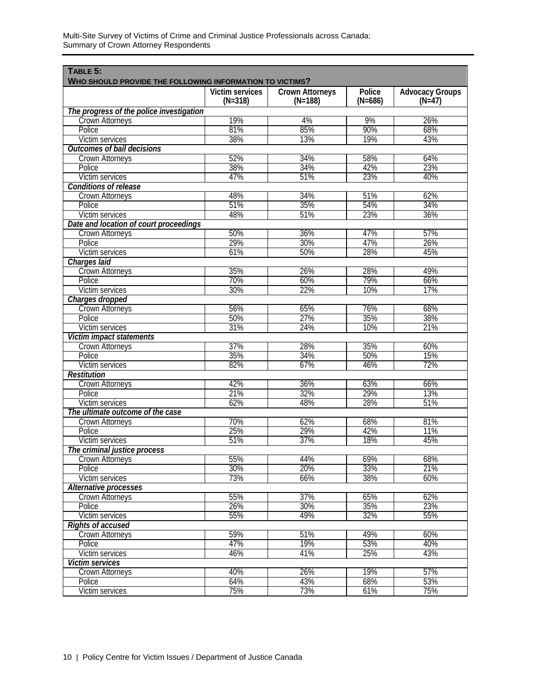| TABLE 5:<br>WHO SHOULD PROVIDE THE FOLLOWING INFORMATION TO VICTIMS? |                              |                                     |                     |                                    |  |  |
|----------------------------------------------------------------------|------------------------------|-------------------------------------|---------------------|------------------------------------|--|--|
|                                                                      | Victim services<br>$(N=318)$ | <b>Crown Attorneys</b><br>$(N=188)$ | Police<br>$(N=686)$ | <b>Advocacy Groups</b><br>$(N=47)$ |  |  |
| The progress of the police investigation                             |                              |                                     |                     |                                    |  |  |
| <b>Crown Attorneys</b>                                               | 19%                          | 4%                                  | 9%                  | 26%                                |  |  |
| Police                                                               | 81%                          | 85%                                 | 90%                 | 68%                                |  |  |
| Victim services                                                      | 38%                          | 13%                                 | 19%                 | 43%                                |  |  |
| <b>Outcomes of bail decisions</b>                                    |                              |                                     |                     |                                    |  |  |
| <b>Crown Attorneys</b>                                               | 52%                          | 34%                                 | 58%                 | 64%                                |  |  |
| Police                                                               | 38%                          | 34%                                 | 42%                 | 23%                                |  |  |
| Victim services                                                      | 47%                          | 51%                                 | 23%                 | 40%                                |  |  |
| <b>Conditions of release</b>                                         |                              |                                     |                     |                                    |  |  |
| <b>Crown Attorneys</b>                                               | 48%                          | 34%                                 | 51%                 | 62%                                |  |  |
| Police                                                               | 51%                          | 35%                                 | 54%                 | 34%                                |  |  |
| Victim services                                                      | 48%                          | 51%                                 | 23%                 | 36%                                |  |  |
| Date and location of court proceedings                               |                              |                                     |                     |                                    |  |  |
| <b>Crown Attorneys</b>                                               | 50%                          | 36%                                 | 47%                 | 57%                                |  |  |
| Police                                                               | 29%                          | 30%                                 | 47%                 | 26%                                |  |  |
| Victim services                                                      | 61%                          | 50%                                 | 28%                 | 45%                                |  |  |
| Charges laid                                                         |                              |                                     |                     |                                    |  |  |
| <b>Crown Attorneys</b>                                               | 35%                          | 26%                                 | 28%                 | 49%                                |  |  |
| Police                                                               | 70%                          | 60%                                 | 79%                 | 66%                                |  |  |
| Victim services                                                      | 30%                          | 22%                                 | 10%                 | 17%                                |  |  |
| Charges dropped                                                      |                              |                                     |                     |                                    |  |  |
| <b>Crown Attorneys</b>                                               | 56%                          | 65%                                 | 76%                 | 68%                                |  |  |
| Police                                                               | 50%                          | 27%                                 | 35%                 | 38%                                |  |  |
| Victim services                                                      | 31%                          | 24%                                 | 10%                 | 21%                                |  |  |
| Victim impact statements                                             |                              |                                     |                     |                                    |  |  |
|                                                                      |                              |                                     | 35%                 |                                    |  |  |
| <b>Crown Attorneys</b><br>Police                                     | 37%<br>35%                   | 28%<br>34%                          | 50%                 | 60%<br>15%                         |  |  |
|                                                                      | 82%                          | 67%                                 | 46%                 | 72%                                |  |  |
| Victim services                                                      |                              |                                     |                     |                                    |  |  |
| <b>Restitution</b>                                                   |                              |                                     |                     |                                    |  |  |
| <b>Crown Attorneys</b>                                               | 42%                          | 36%                                 | 63%                 | 66%                                |  |  |
| Police                                                               | 21%                          | 32%                                 | 29%                 | 13%                                |  |  |
| Victim services                                                      | 62%                          | 48%                                 | 28%                 | 51%                                |  |  |
| The ultimate outcome of the case                                     |                              |                                     |                     |                                    |  |  |
| <b>Crown Attorneys</b>                                               | 70%                          | 62%                                 | 68%                 | 81%                                |  |  |
| Police                                                               | 25%                          | 29%                                 | 42%                 | 11%                                |  |  |
| Victim services                                                      | 51%                          | 37%                                 | 18%                 | 45%                                |  |  |
| The criminal justice process                                         |                              |                                     |                     |                                    |  |  |
| <b>Crown Attorneys</b>                                               | 55%                          | 44%                                 | 69%                 | 68%                                |  |  |
| Police                                                               | 30%                          | 20%                                 | 33%                 | 21%                                |  |  |
| Victim services                                                      | 73%                          | 66%                                 | 38%                 | 60%                                |  |  |
| Alternative processes                                                |                              |                                     |                     |                                    |  |  |
| Crown Attorneys                                                      | 55%                          | 37%                                 | 65%                 | 62%                                |  |  |
| Police                                                               | 26%                          | 30%                                 | 35%                 | 23%                                |  |  |
| Victim services                                                      | 55%                          | 49%                                 | 32%                 | 55%                                |  |  |
| <b>Rights of accused</b>                                             |                              |                                     |                     |                                    |  |  |
| <b>Crown Attorneys</b>                                               | 59%                          | 51%                                 | 49%                 | 60%                                |  |  |
| <b>Police</b>                                                        | 47%                          | 19%                                 | 53%                 | 40%                                |  |  |
| Victim services                                                      | 46%                          | 41%                                 | 25%                 | 43%                                |  |  |
| <b>Victim services</b>                                               |                              |                                     |                     |                                    |  |  |
| Crown Attorneys                                                      | 40%                          | 26%                                 | 19%                 | 57%                                |  |  |
| Police                                                               | 64%                          | 43%                                 | 68%                 | 53%                                |  |  |
| Victim services                                                      | 75%                          | 73%                                 | 61%                 | 75%                                |  |  |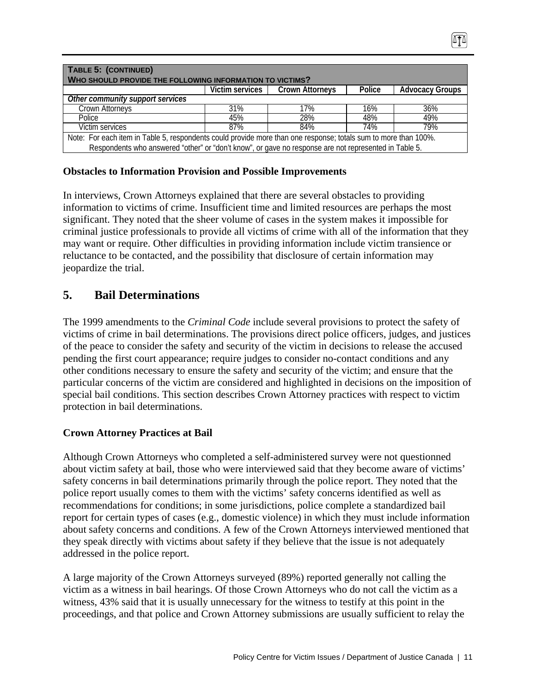| TABLE 5: (CONTINUED)<br>WHO SHOULD PROVIDE THE FOLLOWING INFORMATION TO VICTIMS?                                                                                                                                         |                 |                        |        |                        |  |  |
|--------------------------------------------------------------------------------------------------------------------------------------------------------------------------------------------------------------------------|-----------------|------------------------|--------|------------------------|--|--|
|                                                                                                                                                                                                                          | Victim services | <b>Crown Attorneys</b> | Police | <b>Advocacy Groups</b> |  |  |
| Other community support services                                                                                                                                                                                         |                 |                        |        |                        |  |  |
| Crown Attorneys                                                                                                                                                                                                          | 31%             | 17%                    | 16%    | 36%                    |  |  |
| Police                                                                                                                                                                                                                   | 45%             | 28%                    | 48%    | 49%                    |  |  |
| Victim services                                                                                                                                                                                                          | 87%             | 84%                    | 74%    | 79%                    |  |  |
| Note: For each item in Table 5, respondents could provide more than one response; totals sum to more than 100%.<br>Respondents who answered "other" or "don't know", or gave no response are not represented in Table 5. |                 |                        |        |                        |  |  |

#### **Obstacles to Information Provision and Possible Improvements**

In interviews, Crown Attorneys explained that there are several obstacles to providing information to victims of crime. Insufficient time and limited resources are perhaps the most significant. They noted that the sheer volume of cases in the system makes it impossible for criminal justice professionals to provide all victims of crime with all of the information that they may want or require. Other difficulties in providing information include victim transience or reluctance to be contacted, and the possibility that disclosure of certain information may jeopardize the trial.

## **5. Bail Determinations**

The 1999 amendments to the *Criminal Code* include several provisions to protect the safety of victims of crime in bail determinations. The provisions direct police officers, judges, and justices of the peace to consider the safety and security of the victim in decisions to release the accused pending the first court appearance; require judges to consider no-contact conditions and any other conditions necessary to ensure the safety and security of the victim; and ensure that the particular concerns of the victim are considered and highlighted in decisions on the imposition of special bail conditions. This section describes Crown Attorney practices with respect to victim protection in bail determinations.

#### **Crown Attorney Practices at Bail**

Although Crown Attorneys who completed a self-administered survey were not questionned about victim safety at bail, those who were interviewed said that they become aware of victims' safety concerns in bail determinations primarily through the police report. They noted that the police report usually comes to them with the victims' safety concerns identified as well as recommendations for conditions; in some jurisdictions, police complete a standardized bail report for certain types of cases (e.g., domestic violence) in which they must include information about safety concerns and conditions. A few of the Crown Attorneys interviewed mentioned that they speak directly with victims about safety if they believe that the issue is not adequately addressed in the police report.

A large majority of the Crown Attorneys surveyed (89%) reported generally not calling the victim as a witness in bail hearings. Of those Crown Attorneys who do not call the victim as a witness, 43% said that it is usually unnecessary for the witness to testify at this point in the proceedings, and that police and Crown Attorney submissions are usually sufficient to relay the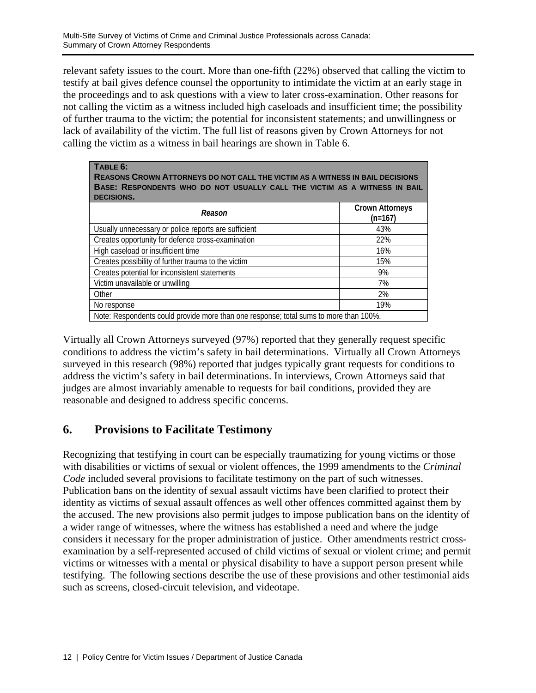relevant safety issues to the court. More than one-fifth (22%) observed that calling the victim to testify at bail gives defence counsel the opportunity to intimidate the victim at an early stage in the proceedings and to ask questions with a view to later cross-examination. Other reasons for not calling the victim as a witness included high caseloads and insufficient time; the possibility of further trauma to the victim; the potential for inconsistent statements; and unwillingness or lack of availability of the victim. The full list of reasons given by Crown Attorneys for not calling the victim as a witness in bail hearings are shown in Table 6.

| TABLE 6:<br>REASONS CROWN ATTORNEYS DO NOT CALL THE VICTIM AS A WITNESS IN BAIL DECISIONS<br>BASE: RESPONDENTS WHO DO NOT USUALLY CALL THE VICTIM AS A WITNESS IN BAIL<br><b>DECISIONS.</b> |                                     |  |  |  |  |
|---------------------------------------------------------------------------------------------------------------------------------------------------------------------------------------------|-------------------------------------|--|--|--|--|
| Reason                                                                                                                                                                                      | <b>Crown Attorneys</b><br>$(n=167)$ |  |  |  |  |
| Usually unnecessary or police reports are sufficient                                                                                                                                        | 43%                                 |  |  |  |  |
| Creates opportunity for defence cross-examination                                                                                                                                           | 22%                                 |  |  |  |  |
| High caseload or insufficient time                                                                                                                                                          | 16%                                 |  |  |  |  |
| Creates possibility of further trauma to the victim                                                                                                                                         | 15%                                 |  |  |  |  |
| Creates potential for inconsistent statements                                                                                                                                               | 9%                                  |  |  |  |  |
| Victim unavailable or unwilling                                                                                                                                                             | 7%                                  |  |  |  |  |
| Other                                                                                                                                                                                       | 2%                                  |  |  |  |  |
| No response                                                                                                                                                                                 | 19%                                 |  |  |  |  |
| Note: Respondents could provide more than one response; total sums to more than 100%.                                                                                                       |                                     |  |  |  |  |

Virtually all Crown Attorneys surveyed (97%) reported that they generally request specific conditions to address the victim's safety in bail determinations. Virtually all Crown Attorneys surveyed in this research (98%) reported that judges typically grant requests for conditions to address the victim's safety in bail determinations. In interviews, Crown Attorneys said that judges are almost invariably amenable to requests for bail conditions, provided they are reasonable and designed to address specific concerns.

# **6. Provisions to Facilitate Testimony**

Recognizing that testifying in court can be especially traumatizing for young victims or those with disabilities or victims of sexual or violent offences, the 1999 amendments to the *Criminal Code* included several provisions to facilitate testimony on the part of such witnesses. Publication bans on the identity of sexual assault victims have been clarified to protect their identity as victims of sexual assault offences as well other offences committed against them by the accused. The new provisions also permit judges to impose publication bans on the identity of a wider range of witnesses, where the witness has established a need and where the judge considers it necessary for the proper administration of justice. Other amendments restrict crossexamination by a self-represented accused of child victims of sexual or violent crime; and permit victims or witnesses with a mental or physical disability to have a support person present while testifying. The following sections describe the use of these provisions and other testimonial aids such as screens, closed-circuit television, and videotape.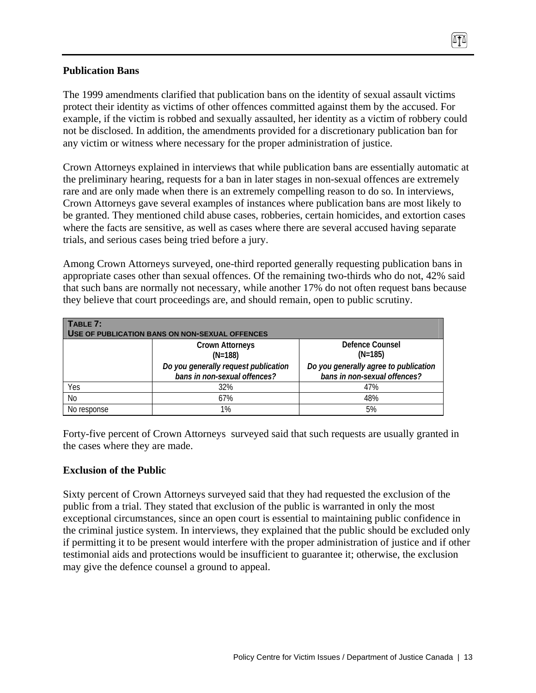#### **Publication Bans**

The 1999 amendments clarified that publication bans on the identity of sexual assault victims protect their identity as victims of other offences committed against them by the accused. For example, if the victim is robbed and sexually assaulted, her identity as a victim of robbery could not be disclosed. In addition, the amendments provided for a discretionary publication ban for any victim or witness where necessary for the proper administration of justice.

Crown Attorneys explained in interviews that while publication bans are essentially automatic at the preliminary hearing, requests for a ban in later stages in non-sexual offences are extremely rare and are only made when there is an extremely compelling reason to do so. In interviews, Crown Attorneys gave several examples of instances where publication bans are most likely to be granted. They mentioned child abuse cases, robberies, certain homicides, and extortion cases where the facts are sensitive, as well as cases where there are several accused having separate trials, and serious cases being tried before a jury.

Among Crown Attorneys surveyed, one-third reported generally requesting publication bans in appropriate cases other than sexual offences. Of the remaining two-thirds who do not, 42% said that such bans are normally not necessary, while another 17% do not often request bans because they believe that court proceedings are, and should remain, open to public scrutiny.

| $\overline{\phantom{a}}$ TABLE 7:<br><b>USE OF PUBLICATION BANS ON NON-SEXUAL OFFENCES</b> |                                                                      |                                                                       |  |  |  |  |
|--------------------------------------------------------------------------------------------|----------------------------------------------------------------------|-----------------------------------------------------------------------|--|--|--|--|
|                                                                                            | <b>Crown Attorneys</b><br>$(N=188)$                                  | Defence Counsel<br>$(N=185)$                                          |  |  |  |  |
|                                                                                            | Do you generally request publication<br>bans in non-sexual offences? | Do you generally agree to publication<br>bans in non-sexual offences? |  |  |  |  |
| Yes                                                                                        | 32%                                                                  | 47%                                                                   |  |  |  |  |
| No                                                                                         | 67%                                                                  | 48%                                                                   |  |  |  |  |
| No response                                                                                | 1%                                                                   | 5%                                                                    |  |  |  |  |

Forty-five percent of Crown Attorneys surveyed said that such requests are usually granted in the cases where they are made.

#### **Exclusion of the Public**

Sixty percent of Crown Attorneys surveyed said that they had requested the exclusion of the public from a trial. They stated that exclusion of the public is warranted in only the most exceptional circumstances, since an open court is essential to maintaining public confidence in the criminal justice system. In interviews, they explained that the public should be excluded only if permitting it to be present would interfere with the proper administration of justice and if other testimonial aids and protections would be insufficient to guarantee it; otherwise, the exclusion may give the defence counsel a ground to appeal.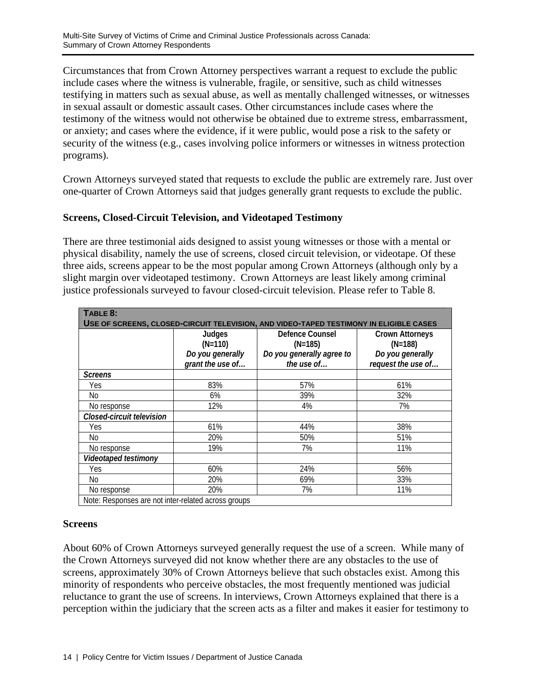Circumstances that from Crown Attorney perspectives warrant a request to exclude the public include cases where the witness is vulnerable, fragile, or sensitive, such as child witnesses testifying in matters such as sexual abuse, as well as mentally challenged witnesses, or witnesses in sexual assault or domestic assault cases. Other circumstances include cases where the testimony of the witness would not otherwise be obtained due to extreme stress, embarrassment, or anxiety; and cases where the evidence, if it were public, would pose a risk to the safety or security of the witness (e.g., cases involving police informers or witnesses in witness protection programs).

Crown Attorneys surveyed stated that requests to exclude the public are extremely rare. Just over one-quarter of Crown Attorneys said that judges generally grant requests to exclude the public.

#### **Screens, Closed-Circuit Television, and Videotaped Testimony**

There are three testimonial aids designed to assist young witnesses or those with a mental or physical disability, namely the use of screens, closed circuit television, or videotape. Of these three aids, screens appear to be the most popular among Crown Attorneys (although only by a slight margin over videotaped testimony. Crown Attorneys are least likely among criminal justice professionals surveyed to favour closed-circuit television. Please refer to Table 8.

| TABLE 8:                                                                               |                                                     |                                         |                                        |  |  |  |  |
|----------------------------------------------------------------------------------------|-----------------------------------------------------|-----------------------------------------|----------------------------------------|--|--|--|--|
| USE OF SCREENS, CLOSED-CIRCUIT TELEVISION, AND VIDEO-TAPED TESTIMONY IN ELIGIBLE CASES |                                                     |                                         |                                        |  |  |  |  |
|                                                                                        | Judges<br>$(N=110)$                                 | Defence Counsel<br>$(N=185)$            | <b>Crown Attorneys</b><br>$(N=188)$    |  |  |  |  |
|                                                                                        | Do you generally<br>grant the use of                | Do you generally agree to<br>the use of | Do you generally<br>request the use of |  |  |  |  |
| <b>Screens</b>                                                                         |                                                     |                                         |                                        |  |  |  |  |
| Yes                                                                                    | 83%                                                 | 57%                                     | 61%                                    |  |  |  |  |
| No                                                                                     | 6%                                                  | 39%                                     | 32%                                    |  |  |  |  |
| No response                                                                            | 12%                                                 | 4%                                      | 7%                                     |  |  |  |  |
| Closed-circuit television                                                              |                                                     |                                         |                                        |  |  |  |  |
| Yes                                                                                    | 61%                                                 | 44%                                     | 38%                                    |  |  |  |  |
| No                                                                                     | 20%                                                 | 50%                                     | 51%                                    |  |  |  |  |
| No response                                                                            | 19%                                                 | 7%                                      | 11%                                    |  |  |  |  |
| Videotaped testimony                                                                   |                                                     |                                         |                                        |  |  |  |  |
| Yes                                                                                    | 60%                                                 | 24%                                     | 56%                                    |  |  |  |  |
| No                                                                                     | 20%                                                 | 69%                                     | 33%                                    |  |  |  |  |
| No response                                                                            | 20%                                                 | 7%                                      | 11%                                    |  |  |  |  |
|                                                                                        | Note: Responses are not inter-related across groups |                                         |                                        |  |  |  |  |

#### **Screens**

About 60% of Crown Attorneys surveyed generally request the use of a screen. While many of the Crown Attorneys surveyed did not know whether there are any obstacles to the use of screens, approximately 30% of Crown Attorneys believe that such obstacles exist. Among this minority of respondents who perceive obstacles, the most frequently mentioned was judicial reluctance to grant the use of screens. In interviews, Crown Attorneys explained that there is a perception within the judiciary that the screen acts as a filter and makes it easier for testimony to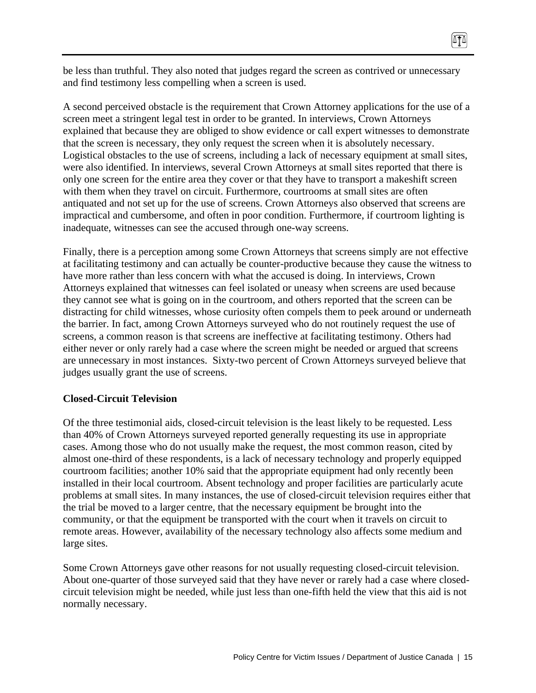be less than truthful. They also noted that judges regard the screen as contrived or unnecessary and find testimony less compelling when a screen is used.

A second perceived obstacle is the requirement that Crown Attorney applications for the use of a screen meet a stringent legal test in order to be granted. In interviews, Crown Attorneys explained that because they are obliged to show evidence or call expert witnesses to demonstrate that the screen is necessary, they only request the screen when it is absolutely necessary. Logistical obstacles to the use of screens, including a lack of necessary equipment at small sites, were also identified. In interviews, several Crown Attorneys at small sites reported that there is only one screen for the entire area they cover or that they have to transport a makeshift screen with them when they travel on circuit. Furthermore, courtrooms at small sites are often antiquated and not set up for the use of screens. Crown Attorneys also observed that screens are impractical and cumbersome, and often in poor condition. Furthermore, if courtroom lighting is inadequate, witnesses can see the accused through one-way screens.

Finally, there is a perception among some Crown Attorneys that screens simply are not effective at facilitating testimony and can actually be counter-productive because they cause the witness to have more rather than less concern with what the accused is doing. In interviews, Crown Attorneys explained that witnesses can feel isolated or uneasy when screens are used because they cannot see what is going on in the courtroom, and others reported that the screen can be distracting for child witnesses, whose curiosity often compels them to peek around or underneath the barrier. In fact, among Crown Attorneys surveyed who do not routinely request the use of screens, a common reason is that screens are ineffective at facilitating testimony. Others had either never or only rarely had a case where the screen might be needed or argued that screens are unnecessary in most instances. Sixty-two percent of Crown Attorneys surveyed believe that judges usually grant the use of screens.

#### **Closed-Circuit Television**

Of the three testimonial aids, closed-circuit television is the least likely to be requested. Less than 40% of Crown Attorneys surveyed reported generally requesting its use in appropriate cases. Among those who do not usually make the request, the most common reason, cited by almost one-third of these respondents, is a lack of necessary technology and properly equipped courtroom facilities; another 10% said that the appropriate equipment had only recently been installed in their local courtroom. Absent technology and proper facilities are particularly acute problems at small sites. In many instances, the use of closed-circuit television requires either that the trial be moved to a larger centre, that the necessary equipment be brought into the community, or that the equipment be transported with the court when it travels on circuit to remote areas. However, availability of the necessary technology also affects some medium and large sites.

Some Crown Attorneys gave other reasons for not usually requesting closed-circuit television. About one-quarter of those surveyed said that they have never or rarely had a case where closedcircuit television might be needed, while just less than one-fifth held the view that this aid is not normally necessary.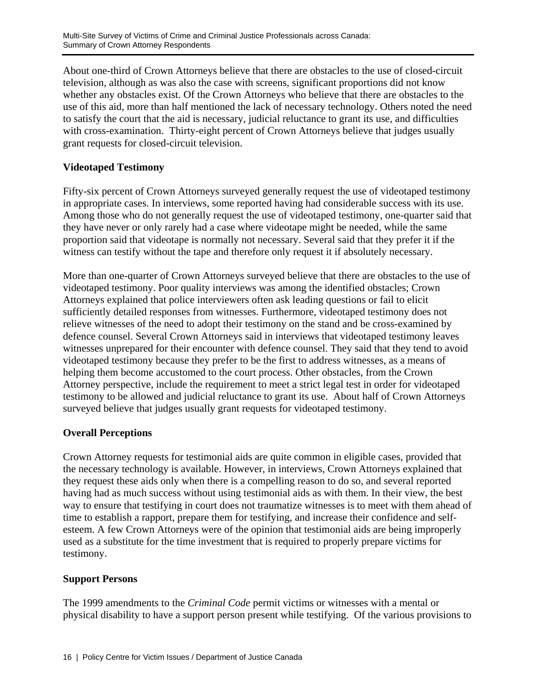About one-third of Crown Attorneys believe that there are obstacles to the use of closed-circuit television, although as was also the case with screens, significant proportions did not know whether any obstacles exist. Of the Crown Attorneys who believe that there are obstacles to the use of this aid, more than half mentioned the lack of necessary technology. Others noted the need to satisfy the court that the aid is necessary, judicial reluctance to grant its use, and difficulties with cross-examination. Thirty-eight percent of Crown Attorneys believe that judges usually grant requests for closed-circuit television.

## **Videotaped Testimony**

Fifty-six percent of Crown Attorneys surveyed generally request the use of videotaped testimony in appropriate cases. In interviews, some reported having had considerable success with its use. Among those who do not generally request the use of videotaped testimony, one-quarter said that they have never or only rarely had a case where videotape might be needed, while the same proportion said that videotape is normally not necessary. Several said that they prefer it if the witness can testify without the tape and therefore only request it if absolutely necessary.

More than one-quarter of Crown Attorneys surveyed believe that there are obstacles to the use of videotaped testimony. Poor quality interviews was among the identified obstacles; Crown Attorneys explained that police interviewers often ask leading questions or fail to elicit sufficiently detailed responses from witnesses. Furthermore, videotaped testimony does not relieve witnesses of the need to adopt their testimony on the stand and be cross-examined by defence counsel. Several Crown Attorneys said in interviews that videotaped testimony leaves witnesses unprepared for their encounter with defence counsel. They said that they tend to avoid videotaped testimony because they prefer to be the first to address witnesses, as a means of helping them become accustomed to the court process. Other obstacles, from the Crown Attorney perspective, include the requirement to meet a strict legal test in order for videotaped testimony to be allowed and judicial reluctance to grant its use. About half of Crown Attorneys surveyed believe that judges usually grant requests for videotaped testimony.

## **Overall Perceptions**

Crown Attorney requests for testimonial aids are quite common in eligible cases, provided that the necessary technology is available. However, in interviews, Crown Attorneys explained that they request these aids only when there is a compelling reason to do so, and several reported having had as much success without using testimonial aids as with them. In their view, the best way to ensure that testifying in court does not traumatize witnesses is to meet with them ahead of time to establish a rapport, prepare them for testifying, and increase their confidence and selfesteem. A few Crown Attorneys were of the opinion that testimonial aids are being improperly used as a substitute for the time investment that is required to properly prepare victims for testimony.

#### **Support Persons**

The 1999 amendments to the *Criminal Code* permit victims or witnesses with a mental or physical disability to have a support person present while testifying. Of the various provisions to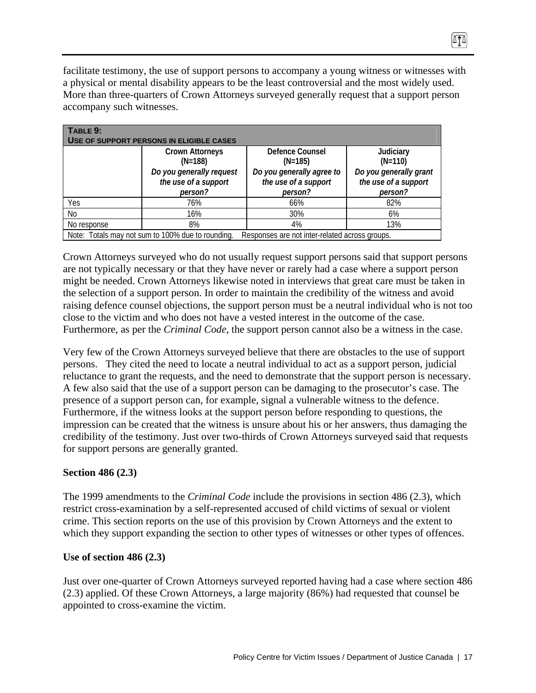facilitate testimony, the use of support persons to accompany a young witness or witnesses with a physical or mental disability appears to be the least controversial and the most widely used. More than three-quarters of Crown Attorneys surveyed generally request that a support person accompany such witnesses.

| TABLE 9:                                                                                            |                                                  |                                                   |                                                |  |  |  |  |
|-----------------------------------------------------------------------------------------------------|--------------------------------------------------|---------------------------------------------------|------------------------------------------------|--|--|--|--|
|                                                                                                     | USE OF SUPPORT PERSONS IN ELIGIBLE CASES         |                                                   |                                                |  |  |  |  |
|                                                                                                     | <b>Crown Attorneys</b>                           | Defence Counsel                                   | Judiciary                                      |  |  |  |  |
|                                                                                                     | $(N=188)$                                        | $(N=185)$                                         | $(N=110)$                                      |  |  |  |  |
|                                                                                                     | Do you generally request<br>the use of a support | Do you generally agree to<br>the use of a support | Do you generally grant<br>the use of a support |  |  |  |  |
|                                                                                                     | person?                                          | person?                                           | person?                                        |  |  |  |  |
| Yes                                                                                                 | 76%                                              | 66%                                               | 82%                                            |  |  |  |  |
| No                                                                                                  | 16%                                              | 30%                                               | 6%                                             |  |  |  |  |
| No response                                                                                         | 8%                                               | 4%                                                | 13%                                            |  |  |  |  |
| Note: Totals may not sum to 100% due to rounding.<br>Responses are not inter-related across groups. |                                                  |                                                   |                                                |  |  |  |  |

Crown Attorneys surveyed who do not usually request support persons said that support persons are not typically necessary or that they have never or rarely had a case where a support person might be needed. Crown Attorneys likewise noted in interviews that great care must be taken in the selection of a support person. In order to maintain the credibility of the witness and avoid raising defence counsel objections, the support person must be a neutral individual who is not too close to the victim and who does not have a vested interest in the outcome of the case. Furthermore, as per the *Criminal Code*, the support person cannot also be a witness in the case.

Very few of the Crown Attorneys surveyed believe that there are obstacles to the use of support persons. They cited the need to locate a neutral individual to act as a support person, judicial reluctance to grant the requests, and the need to demonstrate that the support person is necessary. A few also said that the use of a support person can be damaging to the prosecutor's case. The presence of a support person can, for example, signal a vulnerable witness to the defence. Furthermore, if the witness looks at the support person before responding to questions, the impression can be created that the witness is unsure about his or her answers, thus damaging the credibility of the testimony. Just over two-thirds of Crown Attorneys surveyed said that requests for support persons are generally granted.

#### **Section 486 (2.3)**

The 1999 amendments to the *Criminal Code* include the provisions in section 486 (2.3), which restrict cross-examination by a self-represented accused of child victims of sexual or violent crime. This section reports on the use of this provision by Crown Attorneys and the extent to which they support expanding the section to other types of witnesses or other types of offences.

#### **Use of section 486 (2.3)**

Just over one-quarter of Crown Attorneys surveyed reported having had a case where section 486 (2.3) applied. Of these Crown Attorneys, a large majority (86%) had requested that counsel be appointed to cross-examine the victim.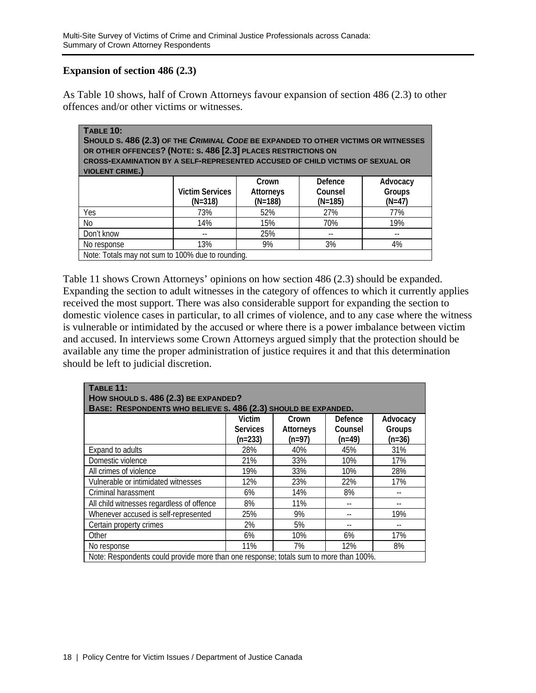#### **Expansion of section 486 (2.3)**

As Table 10 shows, half of Crown Attorneys favour expansion of section 486 (2.3) to other offences and/or other victims or witnesses.

| <b>TABLE 10:</b><br>SHOULD S. 486 (2.3) OF THE CRIMINAL CODE BE EXPANDED TO OTHER VICTIMS OR WITNESSES<br>OR OTHER OFFENCES? (NOTE: S. 486 [2.3] PLACES RESTRICTIONS ON<br><b>CROSS-EXAMINATION BY A SELF-REPRESENTED ACCUSED OF CHILD VICTIMS OF SEXUAL OR</b><br><b>VIOLENT CRIME.)</b> |                        |                           |                    |                    |  |  |
|-------------------------------------------------------------------------------------------------------------------------------------------------------------------------------------------------------------------------------------------------------------------------------------------|------------------------|---------------------------|--------------------|--------------------|--|--|
|                                                                                                                                                                                                                                                                                           | <b>Victim Services</b> | Crown<br><b>Attorneys</b> | Defence<br>Counsel | Advocacy<br>Groups |  |  |
|                                                                                                                                                                                                                                                                                           | $(N=318)$              | $(N=188)$                 | $(N=185)$          | $(N=47)$           |  |  |
| Yes                                                                                                                                                                                                                                                                                       | 73%                    | 52%                       | 27%                | 77%                |  |  |
| No.                                                                                                                                                                                                                                                                                       | 14%                    | 15%                       | 70%                | 19%                |  |  |
| Don't know                                                                                                                                                                                                                                                                                | $- -$                  | 25%                       |                    |                    |  |  |
| No response                                                                                                                                                                                                                                                                               | 13%                    | 9%                        | 3%                 | 4%                 |  |  |
| Note: Totals may not sum to 100% due to rounding.                                                                                                                                                                                                                                         |                        |                           |                    |                    |  |  |

Table 11 shows Crown Attorneys' opinions on how section 486 (2.3) should be expanded. Expanding the section to adult witnesses in the category of offences to which it currently applies received the most support. There was also considerable support for expanding the section to domestic violence cases in particular, to all crimes of violence, and to any case where the witness is vulnerable or intimidated by the accused or where there is a power imbalance between victim and accused. In interviews some Crown Attorneys argued simply that the protection should be available any time the proper administration of justice requires it and that this determination should be left to judicial discretion.

| <b>TABLE 11:</b><br>HOW SHOULD S. 486 (2.3) BE EXPANDED?                              |                 |                  |          |          |  |
|---------------------------------------------------------------------------------------|-----------------|------------------|----------|----------|--|
| BASE: RESPONDENTS WHO BELIEVE S. 486 (2.3) SHOULD BE EXPANDED.                        |                 |                  |          |          |  |
|                                                                                       | Victim          | Crown            | Defence  | Advocacy |  |
|                                                                                       | <b>Services</b> | <b>Attorneys</b> | Counsel  | Groups   |  |
|                                                                                       | $(n=233)$       | $(n=97)$         | $(n=49)$ | $(n=36)$ |  |
| Expand to adults                                                                      | 28%             | 40%              | 45%      | 31%      |  |
| Domestic violence                                                                     | 21%             | 33%              | 10%      | 17%      |  |
| All crimes of violence                                                                | 19%             | 33%              | 10%      | 28%      |  |
| Vulnerable or intimidated witnesses                                                   | 12%             | 23%              | 22%      | 17%      |  |
| Criminal harassment                                                                   | 6%              | 14%              | 8%       |          |  |
| All child witnesses regardless of offence                                             | 8%              | 11%              |          |          |  |
| Whenever accused is self-represented                                                  | 25%             | 9%               |          | 19%      |  |
| Certain property crimes                                                               | 2%              | 5%               |          |          |  |
| Other                                                                                 | 6%              | 10%              | 6%       | 17%      |  |
| No response                                                                           | 11%             | 7%               | 12%      | 8%       |  |
| Note: Respondents could provide more than one response; totals sum to more than 100%. |                 |                  |          |          |  |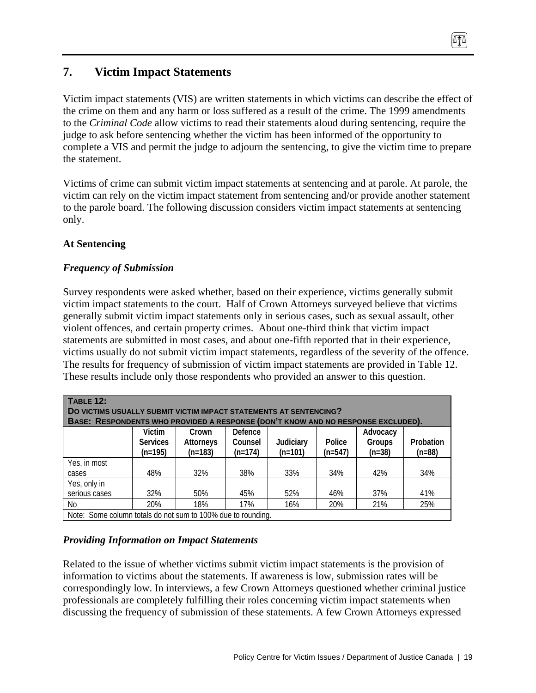# **7. Victim Impact Statements**

Victim impact statements (VIS) are written statements in which victims can describe the effect of the crime on them and any harm or loss suffered as a result of the crime. The 1999 amendments to the *Criminal Code* allow victims to read their statements aloud during sentencing, require the judge to ask before sentencing whether the victim has been informed of the opportunity to complete a VIS and permit the judge to adjourn the sentencing, to give the victim time to prepare the statement.

Victims of crime can submit victim impact statements at sentencing and at parole. At parole, the victim can rely on the victim impact statement from sentencing and/or provide another statement to the parole board. The following discussion considers victim impact statements at sentencing only.

## **At Sentencing**

## *Frequency of Submission*

Survey respondents were asked whether, based on their experience, victims generally submit victim impact statements to the court. Half of Crown Attorneys surveyed believe that victims generally submit victim impact statements only in serious cases, such as sexual assault, other violent offences, and certain property crimes. About one-third think that victim impact statements are submitted in most cases, and about one-fifth reported that in their experience, victims usually do not submit victim impact statements, regardless of the severity of the offence. The results for frequency of submission of victim impact statements are provided in Table 12. These results include only those respondents who provided an answer to this question.

| <b>TABLE 12:</b>                                                                 |                 |                  |           |           |           |          |           |
|----------------------------------------------------------------------------------|-----------------|------------------|-----------|-----------|-----------|----------|-----------|
| DO VICTIMS USUALLY SUBMIT VICTIM IMPACT STATEMENTS AT SENTENCING?                |                 |                  |           |           |           |          |           |
| BASE: RESPONDENTS WHO PROVIDED A RESPONSE (DON'T KNOW AND NO RESPONSE EXCLUDED). |                 |                  |           |           |           |          |           |
|                                                                                  | Victim          | Crown            | Defence   |           |           | Advocacy |           |
|                                                                                  | <b>Services</b> | <b>Attorneys</b> | Counsel   | Judiciary | Police    | Groups   | Probation |
|                                                                                  | $(n=195)$       | $(n=183)$        | $(n=174)$ | $(n=101)$ | $(n=547)$ | $(n=38)$ | $(n=88)$  |
| Yes, in most                                                                     |                 |                  |           |           |           |          |           |
| cases                                                                            | 48%             | 32%              | 38%       | 33%       | 34%       | 42%      | 34%       |
| Yes, only in                                                                     |                 |                  |           |           |           |          |           |
| serious cases                                                                    | 32%             | 50%              | 45%       | 52%       | 46%       | 37%      | 41%       |
| N <sub>0</sub>                                                                   | 20%             | 18%              | 17%       | 16%       | 20%       | 21%      | 25%       |
| Note: Some column totals do not sum to 100% due to rounding.                     |                 |                  |           |           |           |          |           |

## *Providing Information on Impact Statements*

Related to the issue of whether victims submit victim impact statements is the provision of information to victims about the statements. If awareness is low, submission rates will be correspondingly low. In interviews, a few Crown Attorneys questioned whether criminal justice professionals are completely fulfilling their roles concerning victim impact statements when discussing the frequency of submission of these statements. A few Crown Attorneys expressed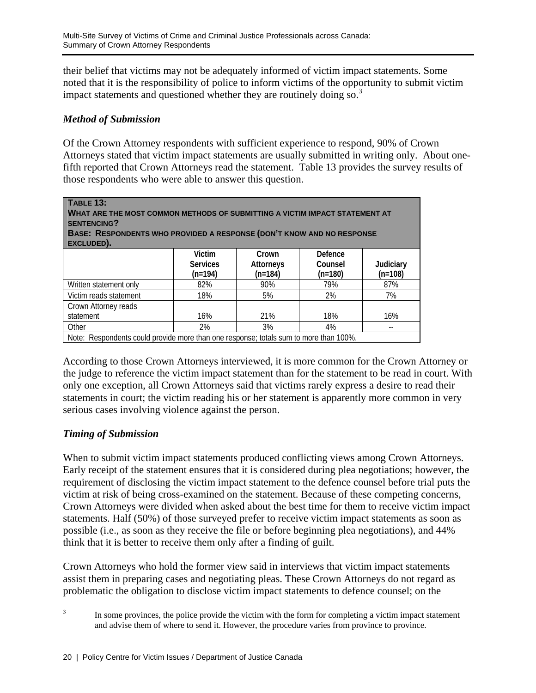their belief that victims may not be adequately informed of victim impact statements. Some noted that it is the responsibility of police to inform victims of the opportunity to submit victim impact statements and questioned whether they are routinely doing so.<sup>3</sup>

#### *Method of Submission*

Of the Crown Attorney respondents with sufficient experience to respond, 90% of Crown Attorneys stated that victim impact statements are usually submitted in writing only. About onefifth reported that Crown Attorneys read the statement. Table 13 provides the survey results of those respondents who were able to answer this question.

| <b>TABLE 13:</b><br>WHAT ARE THE MOST COMMON METHODS OF SUBMITTING A VICTIM IMPACT STATEMENT AT<br><b>SENTENCING?</b><br>BASE: RESPONDENTS WHO PROVIDED A RESPONSE (DON'T KNOW AND NO RESPONSE<br>EXCLUDED). |                                        |                                        |                                 |                        |
|--------------------------------------------------------------------------------------------------------------------------------------------------------------------------------------------------------------|----------------------------------------|----------------------------------------|---------------------------------|------------------------|
|                                                                                                                                                                                                              | Victim<br><b>Services</b><br>$(n=194)$ | Crown<br><b>Attorneys</b><br>$(n=184)$ | Defence<br>Counsel<br>$(n=180)$ | Judiciary<br>$(n=108)$ |
| Written statement only                                                                                                                                                                                       | 82%                                    | 90%                                    | 79%                             | 87%                    |
| Victim reads statement                                                                                                                                                                                       | 18%                                    | 5%                                     | 2%                              | 7%                     |
| Crown Attorney reads<br>statement                                                                                                                                                                            | 16%                                    | 21%                                    | 18%                             | 16%                    |
| Other                                                                                                                                                                                                        | 2%                                     | 3%                                     | 4%                              |                        |
| Note: Respondents could provide more than one response; totals sum to more than 100%.                                                                                                                        |                                        |                                        |                                 |                        |

According to those Crown Attorneys interviewed, it is more common for the Crown Attorney or the judge to reference the victim impact statement than for the statement to be read in court. With only one exception, all Crown Attorneys said that victims rarely express a desire to read their statements in court; the victim reading his or her statement is apparently more common in very serious cases involving violence against the person.

## *Timing of Submission*

When to submit victim impact statements produced conflicting views among Crown Attorneys. Early receipt of the statement ensures that it is considered during plea negotiations; however, the requirement of disclosing the victim impact statement to the defence counsel before trial puts the victim at risk of being cross-examined on the statement. Because of these competing concerns, Crown Attorneys were divided when asked about the best time for them to receive victim impact statements. Half (50%) of those surveyed prefer to receive victim impact statements as soon as possible (i.e., as soon as they receive the file or before beginning plea negotiations), and 44% think that it is better to receive them only after a finding of guilt.

Crown Attorneys who hold the former view said in interviews that victim impact statements assist them in preparing cases and negotiating pleas. These Crown Attorneys do not regard as problematic the obligation to disclose victim impact statements to defence counsel; on the

<sup>2</sup><br>3

In some provinces, the police provide the victim with the form for completing a victim impact statement and advise them of where to send it. However, the procedure varies from province to province.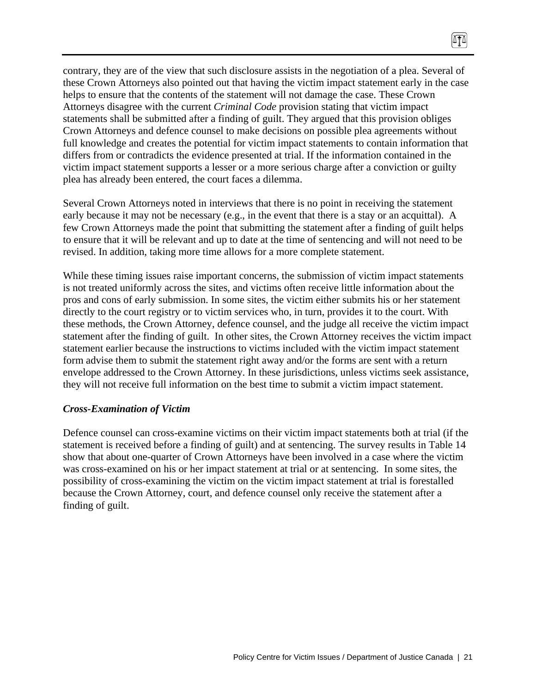contrary, they are of the view that such disclosure assists in the negotiation of a plea. Several of these Crown Attorneys also pointed out that having the victim impact statement early in the case helps to ensure that the contents of the statement will not damage the case. These Crown Attorneys disagree with the current *Criminal Code* provision stating that victim impact statements shall be submitted after a finding of guilt. They argued that this provision obliges Crown Attorneys and defence counsel to make decisions on possible plea agreements without full knowledge and creates the potential for victim impact statements to contain information that differs from or contradicts the evidence presented at trial. If the information contained in the victim impact statement supports a lesser or a more serious charge after a conviction or guilty plea has already been entered, the court faces a dilemma.

 $\sqrt{10}$ 

Several Crown Attorneys noted in interviews that there is no point in receiving the statement early because it may not be necessary (e.g., in the event that there is a stay or an acquittal). A few Crown Attorneys made the point that submitting the statement after a finding of guilt helps to ensure that it will be relevant and up to date at the time of sentencing and will not need to be revised. In addition, taking more time allows for a more complete statement.

While these timing issues raise important concerns, the submission of victim impact statements is not treated uniformly across the sites, and victims often receive little information about the pros and cons of early submission. In some sites, the victim either submits his or her statement directly to the court registry or to victim services who, in turn, provides it to the court. With these methods, the Crown Attorney, defence counsel, and the judge all receive the victim impact statement after the finding of guilt. In other sites, the Crown Attorney receives the victim impact statement earlier because the instructions to victims included with the victim impact statement form advise them to submit the statement right away and/or the forms are sent with a return envelope addressed to the Crown Attorney. In these jurisdictions, unless victims seek assistance, they will not receive full information on the best time to submit a victim impact statement.

#### *Cross-Examination of Victim*

Defence counsel can cross-examine victims on their victim impact statements both at trial (if the statement is received before a finding of guilt) and at sentencing. The survey results in Table 14 show that about one-quarter of Crown Attorneys have been involved in a case where the victim was cross-examined on his or her impact statement at trial or at sentencing. In some sites, the possibility of cross-examining the victim on the victim impact statement at trial is forestalled because the Crown Attorney, court, and defence counsel only receive the statement after a finding of guilt.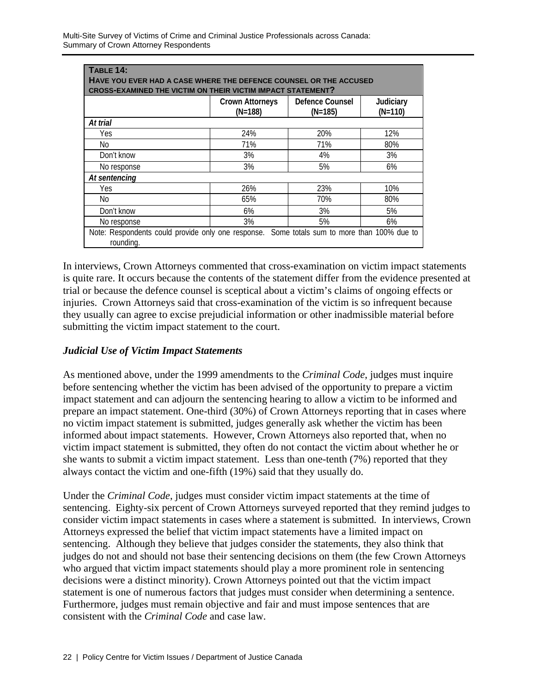| <b>TABLE 14:</b><br>HAVE YOU EVER HAD A CASE WHERE THE DEFENCE COUNSEL OR THE ACCUSED<br><b>CROSS-EXAMINED THE VICTIM ON THEIR VICTIM IMPACT STATEMENT?</b> |     |     |     |  |  |
|-------------------------------------------------------------------------------------------------------------------------------------------------------------|-----|-----|-----|--|--|
| Defence Counsel<br><b>Crown Attorneys</b><br>Judiciary<br>$(N=188)$<br>$(N=110)$<br>$(N=185)$                                                               |     |     |     |  |  |
| At trial                                                                                                                                                    |     |     |     |  |  |
| Yes                                                                                                                                                         | 24% | 20% | 12% |  |  |
| No                                                                                                                                                          | 71% | 71% | 80% |  |  |
| Don't know                                                                                                                                                  | 3%  | 4%  | 3%  |  |  |
| No response                                                                                                                                                 | 3%  | 5%  | 6%  |  |  |
| At sentencing                                                                                                                                               |     |     |     |  |  |
| Yes                                                                                                                                                         | 26% | 23% | 10% |  |  |
| No                                                                                                                                                          | 65% | 70% | 80% |  |  |
| Don't know                                                                                                                                                  | 6%  | 3%  | 5%  |  |  |
| 3%<br>5%<br>6%<br>No response                                                                                                                               |     |     |     |  |  |
| Note: Respondents could provide only one response. Some totals sum to more than 100% due to<br>rounding.                                                    |     |     |     |  |  |

In interviews, Crown Attorneys commented that cross-examination on victim impact statements is quite rare. It occurs because the contents of the statement differ from the evidence presented at trial or because the defence counsel is sceptical about a victim's claims of ongoing effects or injuries. Crown Attorneys said that cross-examination of the victim is so infrequent because they usually can agree to excise prejudicial information or other inadmissible material before submitting the victim impact statement to the court.

#### *Judicial Use of Victim Impact Statements*

As mentioned above, under the 1999 amendments to the *Criminal Code*, judges must inquire before sentencing whether the victim has been advised of the opportunity to prepare a victim impact statement and can adjourn the sentencing hearing to allow a victim to be informed and prepare an impact statement. One-third (30%) of Crown Attorneys reporting that in cases where no victim impact statement is submitted, judges generally ask whether the victim has been informed about impact statements. However, Crown Attorneys also reported that, when no victim impact statement is submitted, they often do not contact the victim about whether he or she wants to submit a victim impact statement. Less than one-tenth (7%) reported that they always contact the victim and one-fifth (19%) said that they usually do.

Under the *Criminal Code*, judges must consider victim impact statements at the time of sentencing. Eighty-six percent of Crown Attorneys surveyed reported that they remind judges to consider victim impact statements in cases where a statement is submitted. In interviews, Crown Attorneys expressed the belief that victim impact statements have a limited impact on sentencing. Although they believe that judges consider the statements, they also think that judges do not and should not base their sentencing decisions on them (the few Crown Attorneys who argued that victim impact statements should play a more prominent role in sentencing decisions were a distinct minority). Crown Attorneys pointed out that the victim impact statement is one of numerous factors that judges must consider when determining a sentence. Furthermore, judges must remain objective and fair and must impose sentences that are consistent with the *Criminal Code* and case law.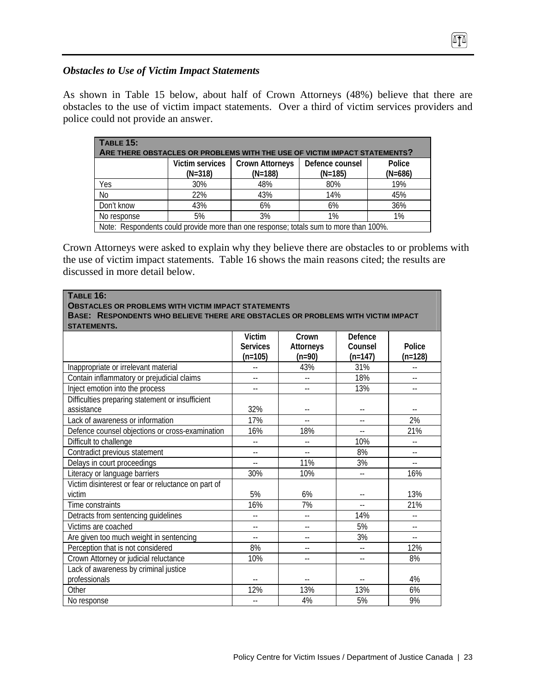#### *Obstacles to Use of Victim Impact Statements*

As shown in Table 15 below, about half of Crown Attorneys (48%) believe that there are obstacles to the use of victim impact statements. Over a third of victim services providers and police could not provide an answer.

 $\sqrt{10}$ 

| TABLE 15:<br>ARE THERE OBSTACLES OR PROBLEMS WITH THE USE OF VICTIM IMPACT STATEMENTS? |                              |                                     |                              |                     |
|----------------------------------------------------------------------------------------|------------------------------|-------------------------------------|------------------------------|---------------------|
|                                                                                        | Victim services<br>$(N=318)$ | <b>Crown Attorneys</b><br>$(N=188)$ | Defence counsel<br>$(N=185)$ | Police<br>$(N=686)$ |
| Yes                                                                                    | 30%                          | 48%                                 | 80%                          | 19%                 |
| N <sub>0</sub>                                                                         | 22%                          | 43%                                 | 14%                          | 45%                 |
| Don't know                                                                             | 43%                          | 6%                                  | 6%                           | 36%                 |
| No response                                                                            | 5%                           | 3%                                  | 1%                           | 1%                  |
| Note: Respondents could provide more than one response; totals sum to more than 100%.  |                              |                                     |                              |                     |

Crown Attorneys were asked to explain why they believe there are obstacles to or problems with the use of victim impact statements. Table 16 shows the main reasons cited; the results are discussed in more detail below.

| TABLE 16:<br><b>OBSTACLES OR PROBLEMS WITH VICTIM IMPACT STATEMENTS</b><br>BASE: RESPONDENTS WHO BELIEVE THERE ARE OBSTACLES OR PROBLEMS WITH VICTIM IMPACT |                                               |                                       |                                 |                          |
|-------------------------------------------------------------------------------------------------------------------------------------------------------------|-----------------------------------------------|---------------------------------------|---------------------------------|--------------------------|
| <b>STATEMENTS.</b>                                                                                                                                          | <b>Victim</b><br><b>Services</b><br>$(n=105)$ | Crown<br><b>Attorneys</b><br>$(n=90)$ | Defence<br>Counsel<br>$(n=147)$ | Police<br>$(n=128)$      |
| Inappropriate or irrelevant material                                                                                                                        |                                               | 43%                                   | 31%                             |                          |
| Contain inflammatory or prejudicial claims                                                                                                                  | $\overline{\phantom{a}}$                      | $\overline{\phantom{a}}$              | 18%                             | $-$                      |
| Inject emotion into the process                                                                                                                             | $-$                                           | $\overline{\phantom{a}}$ .            | 13%                             | $-$                      |
| Difficulties preparing statement or insufficient<br>assistance                                                                                              | 32%                                           | $-$                                   | --                              | $\overline{\phantom{a}}$ |
| Lack of awareness or information                                                                                                                            | 17%                                           | $\overline{a}$                        | $\overline{\phantom{a}}$        | 2%                       |
| Defence counsel objections or cross-examination                                                                                                             | 16%                                           | 18%                                   | $-$                             | 21%                      |
| Difficult to challenge                                                                                                                                      | $\overline{\phantom{a}}$ .                    | $-$                                   | 10%                             | $-$                      |
| Contradict previous statement                                                                                                                               |                                               | $\overline{a}$                        | 8%                              | $-$                      |
| Delays in court proceedings                                                                                                                                 | $-$                                           | 11%                                   | 3%                              | $-$                      |
| Literacy or language barriers                                                                                                                               | 30%                                           | 10%                                   | $\overline{a}$                  | 16%                      |
| Victim disinterest or fear or reluctance on part of<br>victim                                                                                               | 5%                                            | 6%                                    |                                 | 13%                      |
| Time constraints                                                                                                                                            | 16%                                           | 7%                                    | $\sim$                          | 21%                      |
| Detracts from sentencing guidelines                                                                                                                         | $-$                                           | $\overline{a}$                        | 14%                             | $\overline{a}$           |
| Victims are coached                                                                                                                                         | $-$                                           | $-$                                   | 5%                              | $\overline{a}$           |
| Are given too much weight in sentencing                                                                                                                     | $\overline{a}$                                | $-$                                   | 3%                              | $\overline{a}$           |
| Perception that is not considered                                                                                                                           | 8%                                            | $-$                                   | $\overline{\phantom{a}}$        | 12%                      |
| Crown Attorney or judicial reluctance                                                                                                                       | 10%                                           | $-$                                   | $\overline{a}$                  | 8%                       |
| Lack of awareness by criminal justice                                                                                                                       |                                               |                                       |                                 |                          |
| professionals                                                                                                                                               |                                               | $\overline{\phantom{a}}$              |                                 | 4%                       |
| Other                                                                                                                                                       | 12%                                           | 13%                                   | 13%                             | 6%                       |
| No response                                                                                                                                                 | $-$                                           | 4%                                    | 5%                              | 9%                       |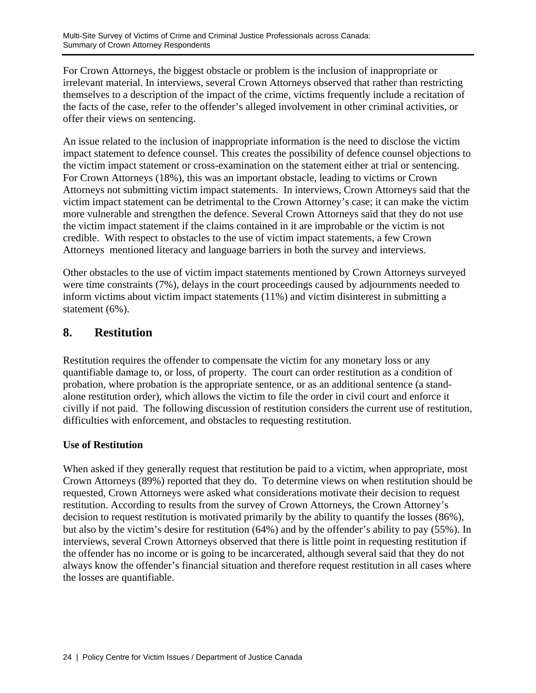For Crown Attorneys, the biggest obstacle or problem is the inclusion of inappropriate or irrelevant material. In interviews, several Crown Attorneys observed that rather than restricting themselves to a description of the impact of the crime, victims frequently include a recitation of the facts of the case, refer to the offender's alleged involvement in other criminal activities, or offer their views on sentencing.

An issue related to the inclusion of inappropriate information is the need to disclose the victim impact statement to defence counsel. This creates the possibility of defence counsel objections to the victim impact statement or cross-examination on the statement either at trial or sentencing. For Crown Attorneys (18%), this was an important obstacle, leading to victims or Crown Attorneys not submitting victim impact statements. In interviews, Crown Attorneys said that the victim impact statement can be detrimental to the Crown Attorney's case; it can make the victim more vulnerable and strengthen the defence. Several Crown Attorneys said that they do not use the victim impact statement if the claims contained in it are improbable or the victim is not credible. With respect to obstacles to the use of victim impact statements, a few Crown Attorneys mentioned literacy and language barriers in both the survey and interviews.

Other obstacles to the use of victim impact statements mentioned by Crown Attorneys surveyed were time constraints (7%), delays in the court proceedings caused by adjournments needed to inform victims about victim impact statements (11%) and victim disinterest in submitting a statement (6%).

# **8. Restitution**

Restitution requires the offender to compensate the victim for any monetary loss or any quantifiable damage to, or loss, of property. The court can order restitution as a condition of probation, where probation is the appropriate sentence, or as an additional sentence (a standalone restitution order), which allows the victim to file the order in civil court and enforce it civilly if not paid. The following discussion of restitution considers the current use of restitution, difficulties with enforcement, and obstacles to requesting restitution.

## **Use of Restitution**

When asked if they generally request that restitution be paid to a victim, when appropriate, most Crown Attorneys (89%) reported that they do. To determine views on when restitution should be requested, Crown Attorneys were asked what considerations motivate their decision to request restitution. According to results from the survey of Crown Attorneys, the Crown Attorney's decision to request restitution is motivated primarily by the ability to quantify the losses (86%), but also by the victim's desire for restitution (64%) and by the offender's ability to pay (55%). In interviews, several Crown Attorneys observed that there is little point in requesting restitution if the offender has no income or is going to be incarcerated, although several said that they do not always know the offender's financial situation and therefore request restitution in all cases where the losses are quantifiable.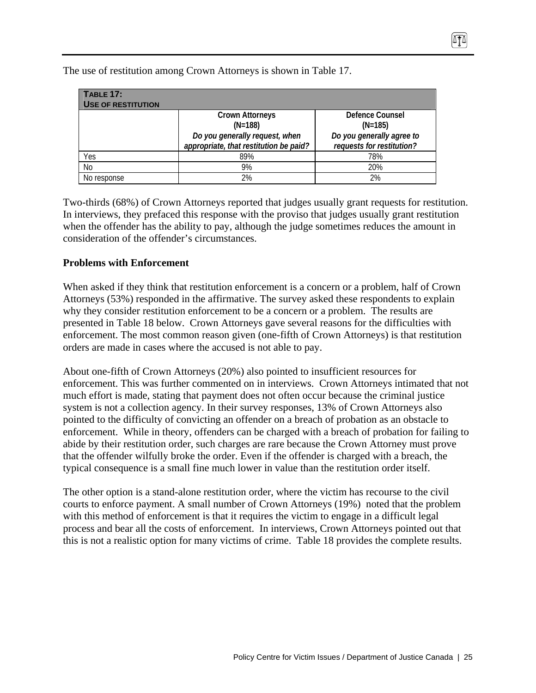| <b>TABLE 17:</b><br><b>USE OF RESTITUTION</b> |                                        |                           |
|-----------------------------------------------|----------------------------------------|---------------------------|
|                                               | <b>Crown Attorneys</b>                 | Defence Counsel           |
|                                               | $(N=188)$                              | $(N=185)$                 |
|                                               | Do you generally request, when         | Do you generally agree to |
|                                               | appropriate, that restitution be paid? | requests for restitution? |
| Yes                                           | 89%                                    | 78%                       |
| No                                            | 9%                                     | 20%                       |
| No response                                   | 2%                                     | 2%                        |

The use of restitution among Crown Attorneys is shown in Table 17.

Two-thirds (68%) of Crown Attorneys reported that judges usually grant requests for restitution. In interviews, they prefaced this response with the proviso that judges usually grant restitution when the offender has the ability to pay, although the judge sometimes reduces the amount in consideration of the offender's circumstances.

#### **Problems with Enforcement**

When asked if they think that restitution enforcement is a concern or a problem, half of Crown Attorneys (53%) responded in the affirmative. The survey asked these respondents to explain why they consider restitution enforcement to be a concern or a problem. The results are presented in Table 18 below. Crown Attorneys gave several reasons for the difficulties with enforcement. The most common reason given (one-fifth of Crown Attorneys) is that restitution orders are made in cases where the accused is not able to pay.

About one-fifth of Crown Attorneys (20%) also pointed to insufficient resources for enforcement. This was further commented on in interviews. Crown Attorneys intimated that not much effort is made, stating that payment does not often occur because the criminal justice system is not a collection agency. In their survey responses, 13% of Crown Attorneys also pointed to the difficulty of convicting an offender on a breach of probation as an obstacle to enforcement. While in theory, offenders can be charged with a breach of probation for failing to abide by their restitution order, such charges are rare because the Crown Attorney must prove that the offender wilfully broke the order. Even if the offender is charged with a breach, the typical consequence is a small fine much lower in value than the restitution order itself.

The other option is a stand-alone restitution order, where the victim has recourse to the civil courts to enforce payment. A small number of Crown Attorneys (19%) noted that the problem with this method of enforcement is that it requires the victim to engage in a difficult legal process and bear all the costs of enforcement. In interviews, Crown Attorneys pointed out that this is not a realistic option for many victims of crime. Table 18 provides the complete results.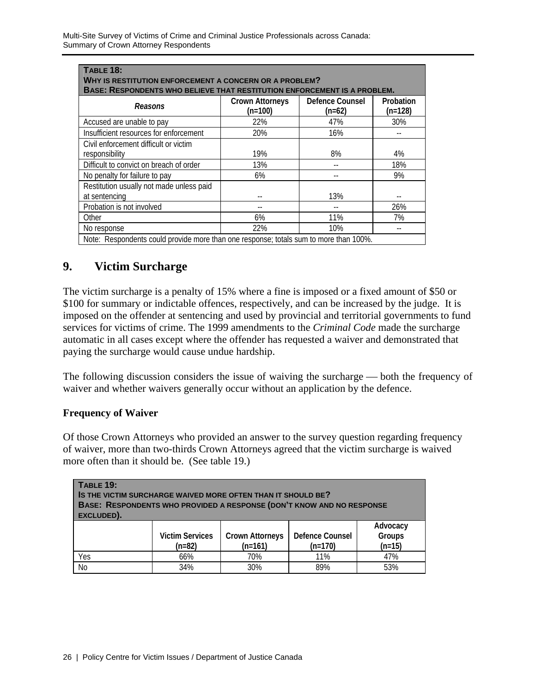| <b>TABLE 18:</b><br><b>WHY IS RESTITUTION ENFORCEMENT A CONCERN OR A PROBLEM?</b><br>BASE: RESPONDENTS WHO BELIEVE THAT RESTITUTION ENFORCEMENT IS A PROBLEM. |                                     |                             |                        |  |  |
|---------------------------------------------------------------------------------------------------------------------------------------------------------------|-------------------------------------|-----------------------------|------------------------|--|--|
| Reasons                                                                                                                                                       | <b>Crown Attorneys</b><br>$(n=100)$ | Defence Counsel<br>$(n=62)$ | Probation<br>$(n=128)$ |  |  |
| Accused are unable to pay                                                                                                                                     | 22%                                 | 47%                         | 30%                    |  |  |
| Insufficient resources for enforcement                                                                                                                        | 20%                                 | 16%                         |                        |  |  |
| Civil enforcement difficult or victim                                                                                                                         |                                     |                             |                        |  |  |
| responsibility                                                                                                                                                | 19%                                 | 8%                          | 4%                     |  |  |
| Difficult to convict on breach of order                                                                                                                       | 13%                                 |                             | 18%                    |  |  |
| No penalty for failure to pay                                                                                                                                 | 6%                                  |                             | 9%                     |  |  |
| Restitution usually not made unless paid                                                                                                                      |                                     |                             |                        |  |  |
| at sentencing                                                                                                                                                 |                                     | 13%                         |                        |  |  |
| Probation is not involved                                                                                                                                     |                                     |                             | 26%                    |  |  |
| Other                                                                                                                                                         | 6%                                  | 11%                         | 7%                     |  |  |
| No response                                                                                                                                                   | 22%                                 | 10%                         |                        |  |  |
| Note: Respondents could provide more than one response; totals sum to more than 100%.                                                                         |                                     |                             |                        |  |  |

# **9. Victim Surcharge**

The victim surcharge is a penalty of 15% where a fine is imposed or a fixed amount of \$50 or \$100 for summary or indictable offences, respectively, and can be increased by the judge. It is imposed on the offender at sentencing and used by provincial and territorial governments to fund services for victims of crime. The 1999 amendments to the *Criminal Code* made the surcharge automatic in all cases except where the offender has requested a waiver and demonstrated that paying the surcharge would cause undue hardship.

The following discussion considers the issue of waiving the surcharge — both the frequency of waiver and whether waivers generally occur without an application by the defence.

#### **Frequency of Waiver**

Of those Crown Attorneys who provided an answer to the survey question regarding frequency of waiver, more than two-thirds Crown Attorneys agreed that the victim surcharge is waived more often than it should be. (See table 19.)

| <b>TABLE 19:</b><br>IS THE VICTIM SURCHARGE WAIVED MORE OFTEN THAN IT SHOULD BE?<br>BASE: RESPONDENTS WHO PROVIDED A RESPONSE (DON'T KNOW AND NO RESPONSE<br>EXCLUDED). |                                    |                                     |                                     |                                       |  |
|-------------------------------------------------------------------------------------------------------------------------------------------------------------------------|------------------------------------|-------------------------------------|-------------------------------------|---------------------------------------|--|
|                                                                                                                                                                         | <b>Victim Services</b><br>$(n=82)$ | <b>Crown Attorneys</b><br>$(n=161)$ | <b>Defence Counsel</b><br>$(n=170)$ | Advocacy<br><b>Groups</b><br>$(n=15)$ |  |
| Yes                                                                                                                                                                     | 66%                                | 70%                                 | 11%                                 | 47%                                   |  |
| N <sub>o</sub>                                                                                                                                                          | 34%                                | 30%                                 | 89%                                 | 53%                                   |  |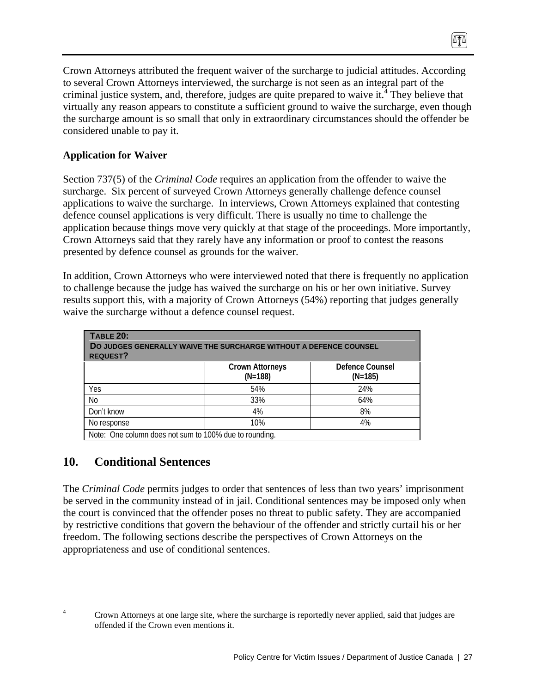Crown Attorneys attributed the frequent waiver of the surcharge to judicial attitudes. According to several Crown Attorneys interviewed, the surcharge is not seen as an integral part of the criminal justice system, and, therefore, judges are quite prepared to waive it.<sup>4</sup> They believe that virtually any reason appears to constitute a sufficient ground to waive the surcharge, even though the surcharge amount is so small that only in extraordinary circumstances should the offender be considered unable to pay it.

## **Application for Waiver**

Section 737(5) of the *Criminal Code* requires an application from the offender to waive the surcharge. Six percent of surveyed Crown Attorneys generally challenge defence counsel applications to waive the surcharge. In interviews, Crown Attorneys explained that contesting defence counsel applications is very difficult. There is usually no time to challenge the application because things move very quickly at that stage of the proceedings. More importantly, Crown Attorneys said that they rarely have any information or proof to contest the reasons presented by defence counsel as grounds for the waiver.

In addition, Crown Attorneys who were interviewed noted that there is frequently no application to challenge because the judge has waived the surcharge on his or her own initiative. Survey results support this, with a majority of Crown Attorneys (54%) reporting that judges generally waive the surcharge without a defence counsel request.

| <b>TABLE 20:</b><br>DO JUDGES GENERALLY WAIVE THE SURCHARGE WITHOUT A DEFENCE COUNSEL<br><b>REQUEST?</b> |                                                        |                              |  |  |  |
|----------------------------------------------------------------------------------------------------------|--------------------------------------------------------|------------------------------|--|--|--|
|                                                                                                          | <b>Crown Attorneys</b><br>$(N=188)$                    | Defence Counsel<br>$(N=185)$ |  |  |  |
| Yes                                                                                                      | 54%                                                    | 24%                          |  |  |  |
| No                                                                                                       | 33%                                                    | 64%                          |  |  |  |
| Don't know                                                                                               | 4%                                                     | 8%                           |  |  |  |
| 10%<br>4%<br>No response                                                                                 |                                                        |                              |  |  |  |
|                                                                                                          | Note: One column does not sum to 100% due to rounding. |                              |  |  |  |

# **10. Conditional Sentences**

The *Criminal Code* permits judges to order that sentences of less than two years' imprisonment be served in the community instead of in jail. Conditional sentences may be imposed only when the court is convinced that the offender poses no threat to public safety. They are accompanied by restrictive conditions that govern the behaviour of the offender and strictly curtail his or her freedom. The following sections describe the perspectives of Crown Attorneys on the appropriateness and use of conditional sentences.

 $\frac{1}{4}$ 

Crown Attorneys at one large site, where the surcharge is reportedly never applied, said that judges are offended if the Crown even mentions it.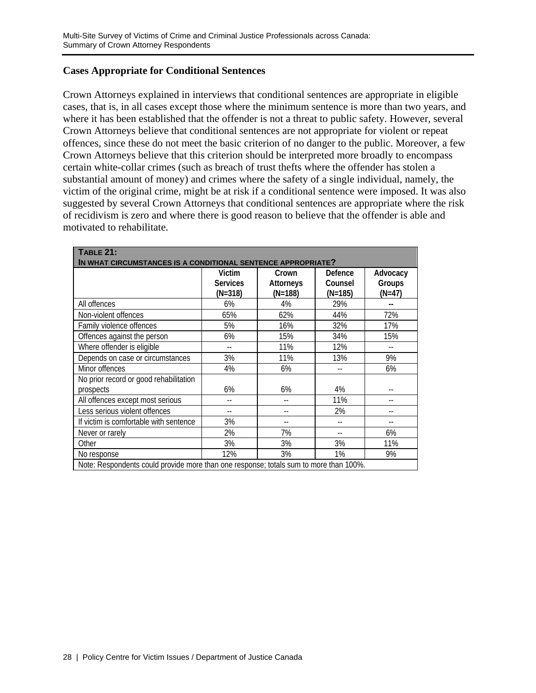#### **Cases Appropriate for Conditional Sentences**

Crown Attorneys explained in interviews that conditional sentences are appropriate in eligible cases, that is, in all cases except those where the minimum sentence is more than two years, and where it has been established that the offender is not a threat to public safety. However, several Crown Attorneys believe that conditional sentences are not appropriate for violent or repeat offences, since these do not meet the basic criterion of no danger to the public. Moreover, a few Crown Attorneys believe that this criterion should be interpreted more broadly to encompass certain white-collar crimes (such as breach of trust thefts where the offender has stolen a substantial amount of money) and crimes where the safety of a single individual, namely, the victim of the original crime, might be at risk if a conditional sentence were imposed. It was also suggested by several Crown Attorneys that conditional sentences are appropriate where the risk of recidivism is zero and where there is good reason to believe that the offender is able and motivated to rehabilitate.

| <b>TABLE 21:</b><br>IN WHAT CIRCUMSTANCES IS A CONDITIONAL SENTENCE APPROPRIATE?      |                                        |                                      |                                 |                                |
|---------------------------------------------------------------------------------------|----------------------------------------|--------------------------------------|---------------------------------|--------------------------------|
|                                                                                       | Victim<br><b>Services</b><br>$(N=318)$ | Crown<br><b>Attorneys</b><br>(N=188) | Defence<br>Counsel<br>$(N=185)$ | Advocacy<br>Groups<br>$(N=47)$ |
| All offences                                                                          | 6%                                     | 4%                                   | 29%                             |                                |
| Non-violent offences                                                                  | 65%                                    | 62%                                  | 44%                             | 72%                            |
| Family violence offences                                                              | 5%                                     | 16%                                  | 32%                             | 17%                            |
| Offences against the person                                                           | 6%                                     | 15%                                  | 34%                             | 15%                            |
| Where offender is eligible                                                            |                                        | 11%                                  | 12%                             |                                |
| Depends on case or circumstances                                                      | 3%                                     | 11%                                  | 13%                             | 9%                             |
| Minor offences                                                                        | 4%                                     | 6%                                   |                                 | 6%                             |
| No prior record or good rehabilitation<br>prospects                                   | 6%                                     | 6%                                   | 4%                              |                                |
| All offences except most serious                                                      |                                        |                                      | 11%                             |                                |
| Less serious violent offences                                                         | $-$                                    | --                                   | 2%                              |                                |
| If victim is comfortable with sentence                                                | 3%                                     | --                                   |                                 |                                |
| Never or rarely                                                                       | 2%                                     | 7%                                   |                                 | 6%                             |
| Other                                                                                 | 3%                                     | 3%                                   | 3%                              | 11%                            |
| No response                                                                           | 12%                                    | 3%                                   | 1%                              | 9%                             |
| Note: Respondents could provide more than one response; totals sum to more than 100%. |                                        |                                      |                                 |                                |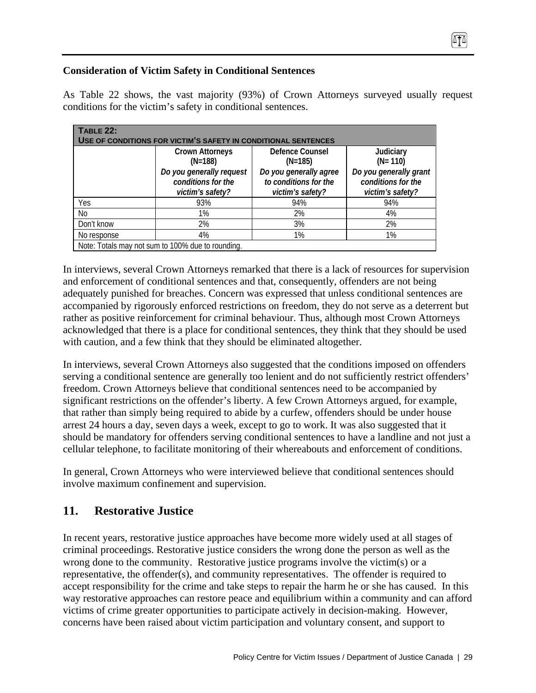## **Consideration of Victim Safety in Conditional Sentences**

As Table 22 shows, the vast majority (93%) of Crown Attorneys surveyed usually request conditions for the victim's safety in conditional sentences.

| <b>TABLE 22:</b>                                               |                                                   |                                                 |                                              |  |  |
|----------------------------------------------------------------|---------------------------------------------------|-------------------------------------------------|----------------------------------------------|--|--|
| USE OF CONDITIONS FOR VICTIM'S SAFETY IN CONDITIONAL SENTENCES |                                                   |                                                 |                                              |  |  |
|                                                                | <b>Crown Attorneys</b>                            | <b>Defence Counsel</b>                          | Judiciary                                    |  |  |
|                                                                | $(N=188)$                                         | $(N=185)$                                       | $(N = 110)$                                  |  |  |
|                                                                | Do you generally request<br>conditions for the    | Do you generally agree<br>to conditions for the | Do you generally grant<br>conditions for the |  |  |
|                                                                | victim's safety?                                  | victim's safety?                                | victim's safety?                             |  |  |
| Yes                                                            | 93%                                               | 94%                                             | 94%                                          |  |  |
| No                                                             | 1%                                                | 2%                                              | 4%                                           |  |  |
| Don't know                                                     | 2%                                                | 3%                                              | 2%                                           |  |  |
| No response                                                    | 4%                                                | 1%                                              | 1%                                           |  |  |
|                                                                | Note: Totals may not sum to 100% due to rounding. |                                                 |                                              |  |  |

In interviews, several Crown Attorneys remarked that there is a lack of resources for supervision and enforcement of conditional sentences and that, consequently, offenders are not being adequately punished for breaches. Concern was expressed that unless conditional sentences are accompanied by rigorously enforced restrictions on freedom, they do not serve as a deterrent but rather as positive reinforcement for criminal behaviour. Thus, although most Crown Attorneys acknowledged that there is a place for conditional sentences, they think that they should be used with caution, and a few think that they should be eliminated altogether.

In interviews, several Crown Attorneys also suggested that the conditions imposed on offenders serving a conditional sentence are generally too lenient and do not sufficiently restrict offenders' freedom. Crown Attorneys believe that conditional sentences need to be accompanied by significant restrictions on the offender's liberty. A few Crown Attorneys argued, for example, that rather than simply being required to abide by a curfew, offenders should be under house arrest 24 hours a day, seven days a week, except to go to work. It was also suggested that it should be mandatory for offenders serving conditional sentences to have a landline and not just a cellular telephone, to facilitate monitoring of their whereabouts and enforcement of conditions.

In general, Crown Attorneys who were interviewed believe that conditional sentences should involve maximum confinement and supervision.

# **11. Restorative Justice**

In recent years, restorative justice approaches have become more widely used at all stages of criminal proceedings. Restorative justice considers the wrong done the person as well as the wrong done to the community. Restorative justice programs involve the victim(s) or a representative, the offender(s), and community representatives. The offender is required to accept responsibility for the crime and take steps to repair the harm he or she has caused. In this way restorative approaches can restore peace and equilibrium within a community and can afford victims of crime greater opportunities to participate actively in decision-making. However, concerns have been raised about victim participation and voluntary consent, and support to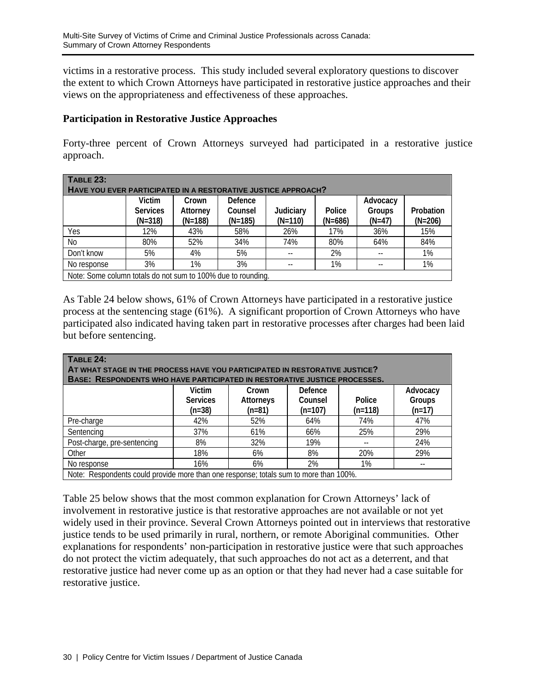victims in a restorative process. This study included several exploratory questions to discover the extent to which Crown Attorneys have participated in restorative justice approaches and their views on the appropriateness and effectiveness of these approaches.

#### **Participation in Restorative Justice Approaches**

Forty-three percent of Crown Attorneys surveyed had participated in a restorative justice approach.

| <b>TABLE 23:</b><br>HAVE YOU EVER PARTICIPATED IN A RESTORATIVE JUSTICE APPROACH? |                                                              |                                |                                 |                        |                     |                                |                        |  |  |
|-----------------------------------------------------------------------------------|--------------------------------------------------------------|--------------------------------|---------------------------------|------------------------|---------------------|--------------------------------|------------------------|--|--|
|                                                                                   | Victim<br><b>Services</b><br>$(N=318)$                       | Crown<br>Attorney<br>$(N=188)$ | Defence<br>Counsel<br>$(N=185)$ | Judiciary<br>$(N=110)$ | Police<br>$(N=686)$ | Advocacy<br>Groups<br>$(N=47)$ | Probation<br>$(N=206)$ |  |  |
| Yes                                                                               | 12%                                                          | 43%                            | 58%                             | 26%                    | 17%                 | 36%                            | 15%                    |  |  |
| No                                                                                | 80%                                                          | 52%                            | 34%                             | 74%                    | 80%                 | 64%                            | 84%                    |  |  |
| Don't know                                                                        | 5%                                                           | 4%                             | 5%                              |                        | 2%                  |                                | 1%                     |  |  |
| No response                                                                       | 3%                                                           | 1%                             | 3%                              |                        | 1%                  |                                | 1%                     |  |  |
|                                                                                   | Note: Some column totals do not sum to 100% due to rounding. |                                |                                 |                        |                     |                                |                        |  |  |

As Table 24 below shows, 61% of Crown Attorneys have participated in a restorative justice process at the sentencing stage (61%). A significant proportion of Crown Attorneys who have participated also indicated having taken part in restorative processes after charges had been laid but before sentencing.

| TABLE 24:                                                                             |                 |           |           |                          |          |  |  |  |  |
|---------------------------------------------------------------------------------------|-----------------|-----------|-----------|--------------------------|----------|--|--|--|--|
| AT WHAT STAGE IN THE PROCESS HAVE YOU PARTICIPATED IN RESTORATIVE JUSTICE?            |                 |           |           |                          |          |  |  |  |  |
| <b>BASE: RESPONDENTS WHO HAVE PARTICIPATED IN RESTORATIVE JUSTICE PROCESSES.</b>      |                 |           |           |                          |          |  |  |  |  |
|                                                                                       | Victim          | Crown     | Defence   |                          | Advocacy |  |  |  |  |
|                                                                                       | <b>Services</b> | Attorneys | Counsel   | Police                   | Groups   |  |  |  |  |
|                                                                                       | $(n=38)$        | $(n=81)$  | $(n=107)$ | $(n=118)$                | $(n=17)$ |  |  |  |  |
| Pre-charge                                                                            | 42%             | 52%       | 64%       | 74%                      | 47%      |  |  |  |  |
| Sentencing                                                                            | 37%             | 61%       | 66%       | 25%                      | 29%      |  |  |  |  |
| Post-charge, pre-sentencing                                                           | 8%              | 32%       | 19%       | $\overline{\phantom{a}}$ | 24%      |  |  |  |  |
| Other                                                                                 | 18%             | 6%        | 8%        | 20%                      | 29%      |  |  |  |  |
| No response                                                                           | 16%             | 6%        | 2%        | 1%                       |          |  |  |  |  |
| Note: Respondents could provide more than one response; totals sum to more than 100%. |                 |           |           |                          |          |  |  |  |  |

Table 25 below shows that the most common explanation for Crown Attorneys' lack of involvement in restorative justice is that restorative approaches are not available or not yet widely used in their province. Several Crown Attorneys pointed out in interviews that restorative justice tends to be used primarily in rural, northern, or remote Aboriginal communities. Other explanations for respondents' non-participation in restorative justice were that such approaches do not protect the victim adequately, that such approaches do not act as a deterrent, and that restorative justice had never come up as an option or that they had never had a case suitable for restorative justice.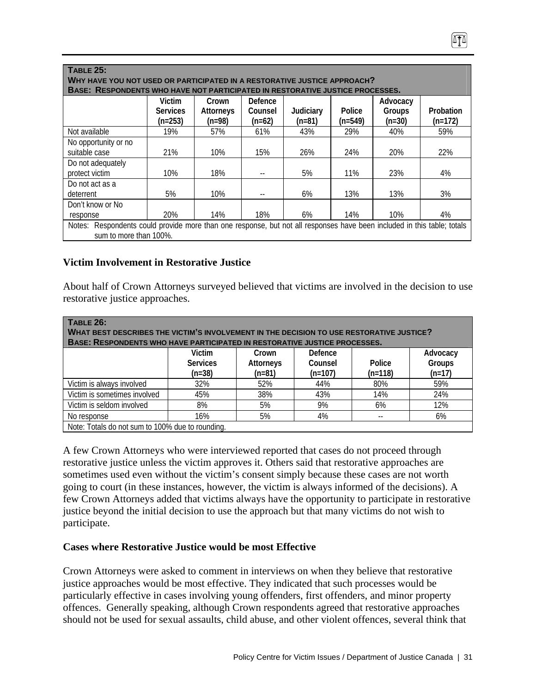| <b>TABLE 25:</b>                                                                                                                                          |                              |                       |                     |                       |                     |                    |                        |  |
|-----------------------------------------------------------------------------------------------------------------------------------------------------------|------------------------------|-----------------------|---------------------|-----------------------|---------------------|--------------------|------------------------|--|
| WHY HAVE YOU NOT USED OR PARTICIPATED IN A RESTORATIVE JUSTICE APPROACH?<br>BASE: RESPONDENTS WHO HAVE NOT PARTICIPATED IN RESTORATIVE JUSTICE PROCESSES. |                              |                       |                     |                       |                     |                    |                        |  |
|                                                                                                                                                           | Victim                       | Crown                 | Defence             |                       |                     | Advocacy           |                        |  |
|                                                                                                                                                           | <b>Services</b><br>$(n=253)$ | Attorneys<br>$(n=98)$ | Counsel<br>$(n=62)$ | Judiciary<br>$(n=81)$ | Police<br>$(n=549)$ | Groups<br>$(n=30)$ | Probation<br>$(n=172)$ |  |
| Not available                                                                                                                                             | 19%                          | 57%                   | 61%                 | 43%                   | 29%                 | 40%                | 59%                    |  |
| No opportunity or no                                                                                                                                      |                              |                       |                     |                       |                     |                    |                        |  |
| suitable case                                                                                                                                             | 21%                          | 10%                   | 15%                 | 26%                   | 24%                 | 20%                | 22%                    |  |
| Do not adequately<br>protect victim                                                                                                                       | 10%                          | 18%                   |                     | 5%                    | 11%                 | 23%                | 4%                     |  |
| Do not act as a                                                                                                                                           |                              |                       |                     |                       |                     |                    |                        |  |
| deterrent                                                                                                                                                 | 5%                           | 10%                   |                     | 6%                    | 13%                 | 13%                | 3%                     |  |
| Don't know or No                                                                                                                                          |                              |                       |                     |                       |                     |                    |                        |  |
| response                                                                                                                                                  | 20%                          | 14%                   | 18%                 | 6%                    | 14%                 | 10%                | 4%                     |  |
| Notes: Respondents could provide more than one response, but not all responses have been included in this table; totals<br>sum to more than 100%.         |                              |                       |                     |                       |                     |                    |                        |  |

#### **Victim Involvement in Restorative Justice**

About half of Crown Attorneys surveyed believed that victims are involved in the decision to use restorative justice approaches.

| <b>TABLE 26:</b><br><b>WHAT BEST DESCRIBES THE VICTIM'S INVOLVEMENT IN THE DECISION TO USE RESTORATIVE JUSTICE?</b><br>BASE: RESPONDENTS WHO HAVE PARTICIPATED IN RESTORATIVE JUSTICE PROCESSES. |                                                  |           |           |           |          |  |  |  |  |
|--------------------------------------------------------------------------------------------------------------------------------------------------------------------------------------------------|--------------------------------------------------|-----------|-----------|-----------|----------|--|--|--|--|
|                                                                                                                                                                                                  | Victim                                           | Crown     | Defence   |           | Advocacy |  |  |  |  |
|                                                                                                                                                                                                  | <b>Services</b>                                  | Attorneys | Counsel   | Police    | Groups   |  |  |  |  |
|                                                                                                                                                                                                  | $(n=38)$                                         | $(n=81)$  | $(n=107)$ | $(n=118)$ | $(n=17)$ |  |  |  |  |
| Victim is always involved                                                                                                                                                                        | 32%                                              | 52%       | 44%       | 80%       | 59%      |  |  |  |  |
| Victim is sometimes involved                                                                                                                                                                     | 45%                                              | 38%       | 43%       | 14%       | 24%      |  |  |  |  |
| Victim is seldom involved                                                                                                                                                                        | 8%                                               | 5%        | 9%        | 6%        | 12%      |  |  |  |  |
| No response                                                                                                                                                                                      | 16%                                              | 5%        | 4%        | --        | 6%       |  |  |  |  |
|                                                                                                                                                                                                  | Note: Totals do not sum to 100% due to rounding. |           |           |           |          |  |  |  |  |

A few Crown Attorneys who were interviewed reported that cases do not proceed through restorative justice unless the victim approves it. Others said that restorative approaches are sometimes used even without the victim's consent simply because these cases are not worth going to court (in these instances, however, the victim is always informed of the decisions). A few Crown Attorneys added that victims always have the opportunity to participate in restorative justice beyond the initial decision to use the approach but that many victims do not wish to participate.

#### **Cases where Restorative Justice would be most Effective**

Crown Attorneys were asked to comment in interviews on when they believe that restorative justice approaches would be most effective. They indicated that such processes would be particularly effective in cases involving young offenders, first offenders, and minor property offences. Generally speaking, although Crown respondents agreed that restorative approaches should not be used for sexual assaults, child abuse, and other violent offences, several think that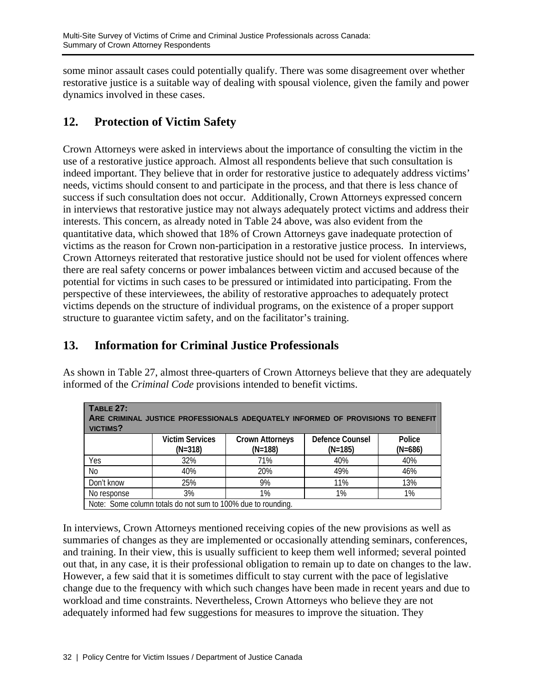some minor assault cases could potentially qualify. There was some disagreement over whether restorative justice is a suitable way of dealing with spousal violence, given the family and power dynamics involved in these cases.

# **12. Protection of Victim Safety**

Crown Attorneys were asked in interviews about the importance of consulting the victim in the use of a restorative justice approach. Almost all respondents believe that such consultation is indeed important. They believe that in order for restorative justice to adequately address victims' needs, victims should consent to and participate in the process, and that there is less chance of success if such consultation does not occur. Additionally, Crown Attorneys expressed concern in interviews that restorative justice may not always adequately protect victims and address their interests. This concern, as already noted in Table 24 above, was also evident from the quantitative data, which showed that 18% of Crown Attorneys gave inadequate protection of victims as the reason for Crown non-participation in a restorative justice process. In interviews, Crown Attorneys reiterated that restorative justice should not be used for violent offences where there are real safety concerns or power imbalances between victim and accused because of the potential for victims in such cases to be pressured or intimidated into participating. From the perspective of these interviewees, the ability of restorative approaches to adequately protect victims depends on the structure of individual programs, on the existence of a proper support structure to guarantee victim safety, and on the facilitator's training.

# **13. Information for Criminal Justice Professionals**

As shown in Table 27, almost three-quarters of Crown Attorneys believe that they are adequately informed of the *Criminal Code* provisions intended to benefit victims.

| <b>TABLE 27:</b><br>ARE CRIMINAL JUSTICE PROFESSIONALS ADEQUATELY INFORMED OF PROVISIONS TO BENEFIT<br>VICTIMS? |                                                              |                                     |                              |                     |  |  |  |  |  |  |
|-----------------------------------------------------------------------------------------------------------------|--------------------------------------------------------------|-------------------------------------|------------------------------|---------------------|--|--|--|--|--|--|
|                                                                                                                 | <b>Victim Services</b><br>$(N=318)$                          | <b>Crown Attorneys</b><br>$(N=188)$ | Defence Counsel<br>$(N=185)$ | Police<br>$(N=686)$ |  |  |  |  |  |  |
| Yes                                                                                                             | 32%                                                          | 71%                                 | 40%                          | 40%                 |  |  |  |  |  |  |
| <b>No</b>                                                                                                       | 40%                                                          | 20%                                 | 49%                          | 46%                 |  |  |  |  |  |  |
| Don't know                                                                                                      | 25%                                                          | 9%                                  | 11%                          | 13%                 |  |  |  |  |  |  |
| No response                                                                                                     | 3%                                                           | 1%                                  | 1%                           | 1%                  |  |  |  |  |  |  |
|                                                                                                                 | Note: Some column totals do not sum to 100% due to rounding. |                                     |                              |                     |  |  |  |  |  |  |

In interviews, Crown Attorneys mentioned receiving copies of the new provisions as well as summaries of changes as they are implemented or occasionally attending seminars, conferences, and training. In their view, this is usually sufficient to keep them well informed; several pointed out that, in any case, it is their professional obligation to remain up to date on changes to the law. However, a few said that it is sometimes difficult to stay current with the pace of legislative change due to the frequency with which such changes have been made in recent years and due to workload and time constraints. Nevertheless, Crown Attorneys who believe they are not adequately informed had few suggestions for measures to improve the situation. They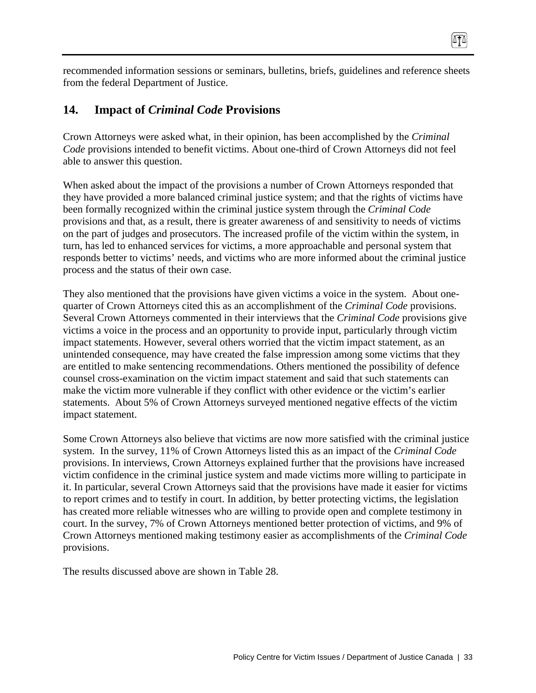recommended information sessions or seminars, bulletins, briefs, guidelines and reference sheets from the federal Department of Justice.

0TA

## **14. Impact of** *Criminal Code* **Provisions**

Crown Attorneys were asked what, in their opinion, has been accomplished by the *Criminal Code* provisions intended to benefit victims. About one-third of Crown Attorneys did not feel able to answer this question.

When asked about the impact of the provisions a number of Crown Attorneys responded that they have provided a more balanced criminal justice system; and that the rights of victims have been formally recognized within the criminal justice system through the *Criminal Code*  provisions and that, as a result, there is greater awareness of and sensitivity to needs of victims on the part of judges and prosecutors. The increased profile of the victim within the system, in turn, has led to enhanced services for victims, a more approachable and personal system that responds better to victims' needs, and victims who are more informed about the criminal justice process and the status of their own case.

They also mentioned that the provisions have given victims a voice in the system. About onequarter of Crown Attorneys cited this as an accomplishment of the *Criminal Code* provisions. Several Crown Attorneys commented in their interviews that the *Criminal Code* provisions give victims a voice in the process and an opportunity to provide input, particularly through victim impact statements. However, several others worried that the victim impact statement, as an unintended consequence, may have created the false impression among some victims that they are entitled to make sentencing recommendations. Others mentioned the possibility of defence counsel cross-examination on the victim impact statement and said that such statements can make the victim more vulnerable if they conflict with other evidence or the victim's earlier statements. About 5% of Crown Attorneys surveyed mentioned negative effects of the victim impact statement.

Some Crown Attorneys also believe that victims are now more satisfied with the criminal justice system. In the survey, 11% of Crown Attorneys listed this as an impact of the *Criminal Code*  provisions. In interviews, Crown Attorneys explained further that the provisions have increased victim confidence in the criminal justice system and made victims more willing to participate in it. In particular, several Crown Attorneys said that the provisions have made it easier for victims to report crimes and to testify in court. In addition, by better protecting victims, the legislation has created more reliable witnesses who are willing to provide open and complete testimony in court. In the survey, 7% of Crown Attorneys mentioned better protection of victims, and 9% of Crown Attorneys mentioned making testimony easier as accomplishments of the *Criminal Code* provisions.

The results discussed above are shown in Table 28.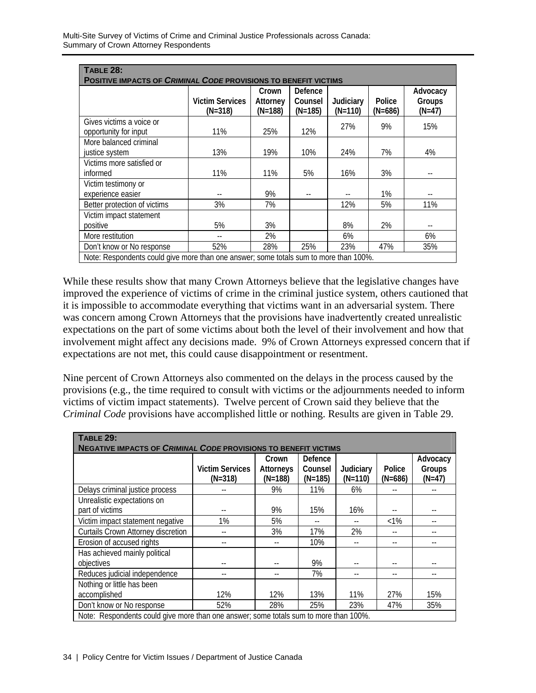| <b>TABLE 28:</b>                                                                      |                                     |                              |                                 |                        |                     |                              |  |  |  |  |  |
|---------------------------------------------------------------------------------------|-------------------------------------|------------------------------|---------------------------------|------------------------|---------------------|------------------------------|--|--|--|--|--|
| <b>POSITIVE IMPACTS OF CRIMINAL CODE PROVISIONS TO BENEFIT VICTIMS</b>                |                                     |                              |                                 |                        |                     |                              |  |  |  |  |  |
|                                                                                       | <b>Victim Services</b><br>$(N=318)$ | Crown<br>Attorney<br>(N=188) | Defence<br>Counsel<br>$(N=185)$ | Judiciary<br>$(N=110)$ | Police<br>$(N=686)$ | Advocacy<br>Groups<br>(N=47) |  |  |  |  |  |
| Gives victims a voice or<br>opportunity for input                                     | 11%                                 | 25%                          | 12%                             | 27%                    | 9%                  | 15%                          |  |  |  |  |  |
| More balanced criminal<br>justice system                                              | 13%                                 | 19%                          | 10%                             | 24%                    | 7%                  | 4%                           |  |  |  |  |  |
| Victims more satisfied or<br>informed                                                 | 11%                                 | 11%                          | 5%                              | 16%                    | 3%                  |                              |  |  |  |  |  |
| Victim testimony or<br>experience easier                                              |                                     | 9%                           |                                 |                        | 1%                  |                              |  |  |  |  |  |
| Better protection of victims                                                          | 3%                                  | 7%                           |                                 | 12%                    | 5%                  | 11%                          |  |  |  |  |  |
| Victim impact statement<br>positive                                                   | 5%                                  | 3%                           |                                 | 8%                     | 2%                  | $-$                          |  |  |  |  |  |
| More restitution                                                                      |                                     | 2%                           |                                 | 6%                     |                     | 6%                           |  |  |  |  |  |
| Don't know or No response                                                             | 52%                                 | 28%                          | 25%                             | 23%                    | 47%                 | 35%                          |  |  |  |  |  |
| Note: Respondents could give more than one answer; some totals sum to more than 100%. |                                     |                              |                                 |                        |                     |                              |  |  |  |  |  |

While these results show that many Crown Attorneys believe that the legislative changes have improved the experience of victims of crime in the criminal justice system, others cautioned that it is impossible to accommodate everything that victims want in an adversarial system. There was concern among Crown Attorneys that the provisions have inadvertently created unrealistic expectations on the part of some victims about both the level of their involvement and how that involvement might affect any decisions made. 9% of Crown Attorneys expressed concern that if expectations are not met, this could cause disappointment or resentment.

Nine percent of Crown Attorneys also commented on the delays in the process caused by the provisions (e.g., the time required to consult with victims or the adjournments needed to inform victims of victim impact statements). Twelve percent of Crown said they believe that the *Criminal Code* provisions have accomplished little or nothing. Results are given in Table 29.

| <b>TABLE 29:</b><br><b>NEGATIVE IMPACTS OF CRIMINAL CODE PROVISIONS TO BENEFIT VICTIMS</b> |                                     |                                 |                                 |                        |                     |                                |  |  |
|--------------------------------------------------------------------------------------------|-------------------------------------|---------------------------------|---------------------------------|------------------------|---------------------|--------------------------------|--|--|
|                                                                                            | <b>Victim Services</b><br>$(N=318)$ | Crown<br>Attorneys<br>$(N=188)$ | Defence<br>Counsel<br>$(N=185)$ | Judiciary<br>$(N=110)$ | Police<br>$(N=686)$ | Advocacy<br>Groups<br>$(N=47)$ |  |  |
| Delays criminal justice process                                                            |                                     | 9%                              | 11%                             | 6%                     |                     |                                |  |  |
| Unrealistic expectations on<br>part of victims                                             |                                     | 9%                              | 15%                             | 16%                    |                     |                                |  |  |
| Victim impact statement negative                                                           | 1%                                  | 5%                              |                                 |                        | $<1\%$              |                                |  |  |
| <b>Curtails Crown Attorney discretion</b>                                                  |                                     | 3%                              | 17%                             | 2%                     |                     |                                |  |  |
| Erosion of accused rights                                                                  |                                     |                                 | 10%                             |                        | --                  | --                             |  |  |
| Has achieved mainly political<br>objectives                                                |                                     |                                 | 9%                              |                        |                     |                                |  |  |
| Reduces judicial independence                                                              | --                                  |                                 | 7%                              | --                     |                     | $-$                            |  |  |
| Nothing or little has been                                                                 |                                     |                                 |                                 |                        |                     |                                |  |  |
| accomplished                                                                               | 12%                                 | 12%                             | 13%                             | 11%                    | 27%                 | 15%                            |  |  |
| Don't know or No response                                                                  | 52%                                 | 28%                             | 25%                             | 23%                    | 47%                 | 35%                            |  |  |
| Note: Respondents could give more than one answer; some totals sum to more than 100%.      |                                     |                                 |                                 |                        |                     |                                |  |  |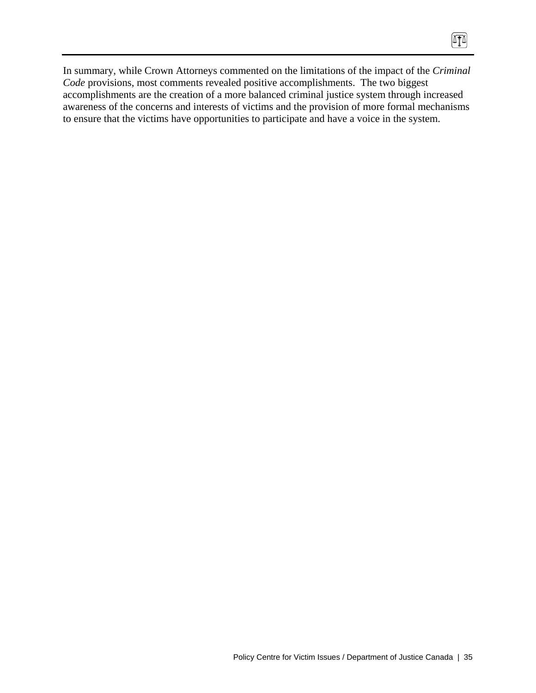In summary, while Crown Attorneys commented on the limitations of the impact of the *Criminal Code* provisions, most comments revealed positive accomplishments. The two biggest accomplishments are the creation of a more balanced criminal justice system through increased awareness of the concerns and interests of victims and the provision of more formal mechanisms to ensure that the victims have opportunities to participate and have a voice in the system.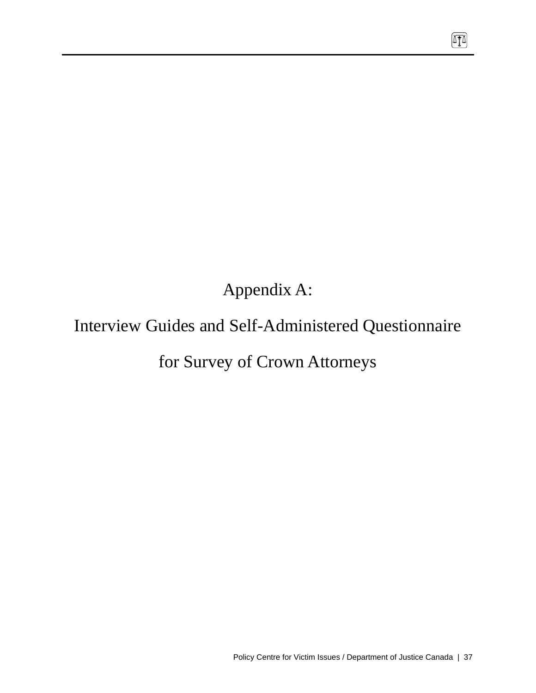Appendix A:

# Interview Guides and Self-Administered Questionnaire

# for Survey of Crown Attorneys

 $\sqrt{10}$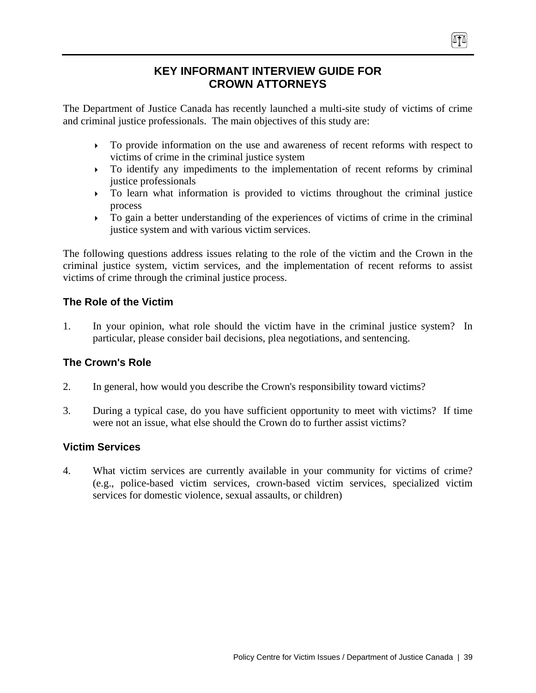## **KEY INFORMANT INTERVIEW GUIDE FOR CROWN ATTORNEYS**

The Department of Justice Canada has recently launched a multi-site study of victims of crime and criminal justice professionals. The main objectives of this study are:

` To provide information on the use and awareness of recent reforms with respect to victims of crime in the criminal justice system

(ITA)

- $\triangleright$  To identify any impediments to the implementation of recent reforms by criminal justice professionals
- $\triangleright$  To learn what information is provided to victims throughout the criminal justice process
- $\triangleright$  To gain a better understanding of the experiences of victims of crime in the criminal justice system and with various victim services.

The following questions address issues relating to the role of the victim and the Crown in the criminal justice system, victim services, and the implementation of recent reforms to assist victims of crime through the criminal justice process.

## **The Role of the Victim**

1. In your opinion, what role should the victim have in the criminal justice system? In particular, please consider bail decisions, plea negotiations, and sentencing.

## **The Crown's Role**

- 2. In general, how would you describe the Crown's responsibility toward victims?
- 3. During a typical case, do you have sufficient opportunity to meet with victims? If time were not an issue, what else should the Crown do to further assist victims?

## **Victim Services**

4. What victim services are currently available in your community for victims of crime? (e.g., police-based victim services, crown-based victim services, specialized victim services for domestic violence, sexual assaults, or children)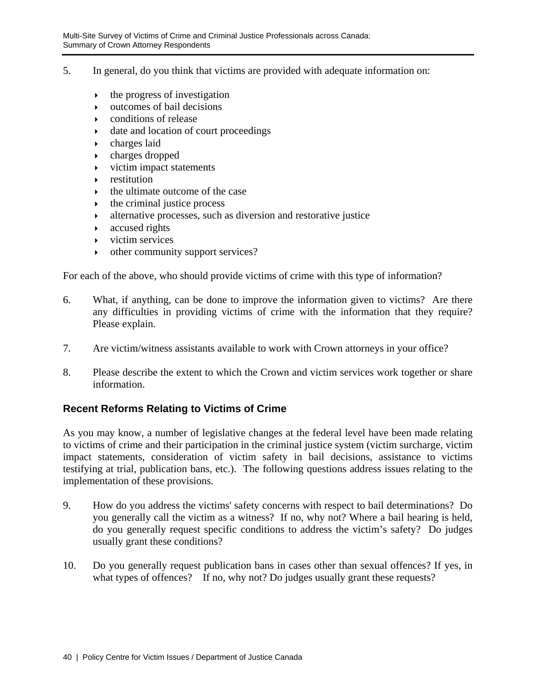- 5. In general, do you think that victims are provided with adequate information on:
	- $\rightarrow$  the progress of investigation
	- $\rightarrow$  outcomes of bail decisions
	- $\bullet$  conditions of release
	- $\rightarrow$  date and location of court proceedings
	- $\rightarrow$  charges laid
	- $\rightarrow$  charges dropped
	- $\rightarrow$  victim impact statements
	- $\triangleright$  restitution
	- ` the ultimate outcome of the case
	- $\rightarrow$  the criminal justice process
	- $\rightarrow$  alternative processes, such as diversion and restorative justice
	- $\rightarrow$  accused rights
	- $\triangleright$  victim services
	- $\rightarrow$  other community support services?

For each of the above, who should provide victims of crime with this type of information?

- 6. What, if anything, can be done to improve the information given to victims? Are there any difficulties in providing victims of crime with the information that they require? Please explain.
- 7. Are victim/witness assistants available to work with Crown attorneys in your office?
- 8. Please describe the extent to which the Crown and victim services work together or share information.

## **Recent Reforms Relating to Victims of Crime**

As you may know, a number of legislative changes at the federal level have been made relating to victims of crime and their participation in the criminal justice system (victim surcharge, victim impact statements, consideration of victim safety in bail decisions, assistance to victims testifying at trial, publication bans, etc.). The following questions address issues relating to the implementation of these provisions.

- 9. How do you address the victims' safety concerns with respect to bail determinations? Do you generally call the victim as a witness? If no, why not? Where a bail hearing is held, do you generally request specific conditions to address the victim's safety? Do judges usually grant these conditions?
- 10. Do you generally request publication bans in cases other than sexual offences? If yes, in what types of offences? If no, why not? Do judges usually grant these requests?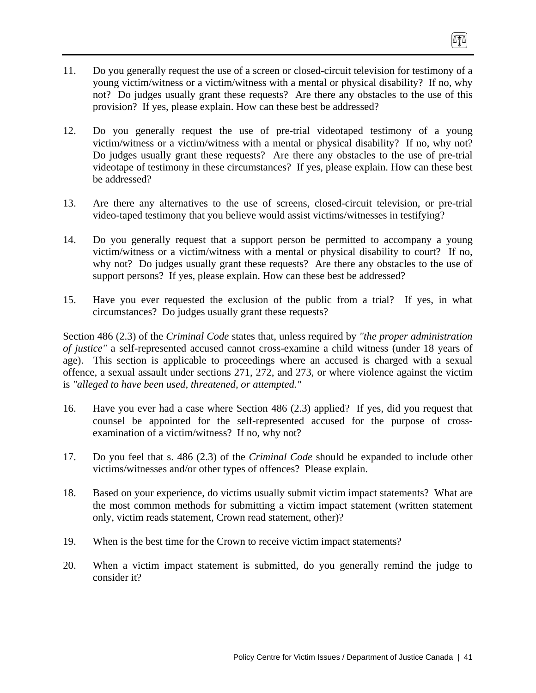- 11. Do you generally request the use of a screen or closed-circuit television for testimony of a young victim/witness or a victim/witness with a mental or physical disability? If no, why not? Do judges usually grant these requests? Are there any obstacles to the use of this provision? If yes, please explain. How can these best be addressed?
- 12. Do you generally request the use of pre-trial videotaped testimony of a young victim/witness or a victim/witness with a mental or physical disability? If no, why not? Do judges usually grant these requests? Are there any obstacles to the use of pre-trial videotape of testimony in these circumstances? If yes, please explain. How can these best be addressed?
- 13. Are there any alternatives to the use of screens, closed-circuit television, or pre-trial video-taped testimony that you believe would assist victims/witnesses in testifying?
- 14. Do you generally request that a support person be permitted to accompany a young victim/witness or a victim/witness with a mental or physical disability to court? If no, why not? Do judges usually grant these requests? Are there any obstacles to the use of support persons? If yes, please explain. How can these best be addressed?
- 15. Have you ever requested the exclusion of the public from a trial? If yes, in what circumstances? Do judges usually grant these requests?

Section 486 (2.3) of the *Criminal Code* states that, unless required by *"the proper administration of justice"* a self-represented accused cannot cross-examine a child witness (under 18 years of age). This section is applicable to proceedings where an accused is charged with a sexual offence, a sexual assault under sections 271, 272, and 273, or where violence against the victim is *"alleged to have been used, threatened, or attempted."*

- 16. Have you ever had a case where Section 486 (2.3) applied? If yes, did you request that counsel be appointed for the self-represented accused for the purpose of crossexamination of a victim/witness? If no, why not?
- 17. Do you feel that s. 486 (2.3) of the *Criminal Code* should be expanded to include other victims/witnesses and/or other types of offences? Please explain.
- 18. Based on your experience, do victims usually submit victim impact statements? What are the most common methods for submitting a victim impact statement (written statement only, victim reads statement, Crown read statement, other)?
- 19. When is the best time for the Crown to receive victim impact statements?
- 20. When a victim impact statement is submitted, do you generally remind the judge to consider it?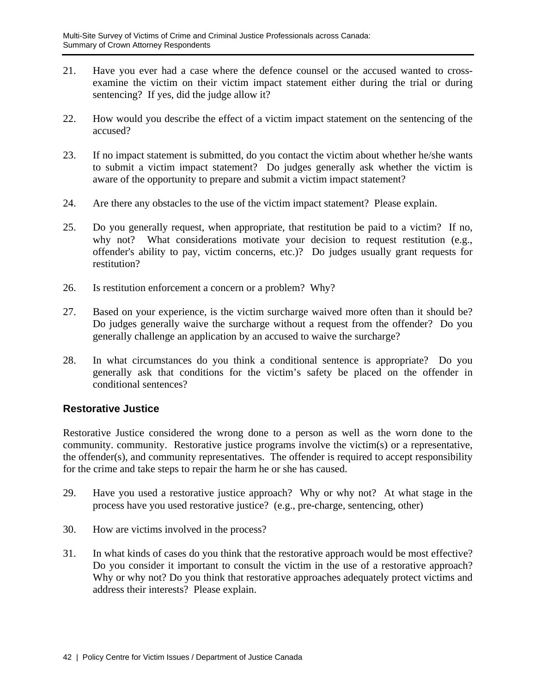- 21. Have you ever had a case where the defence counsel or the accused wanted to crossexamine the victim on their victim impact statement either during the trial or during sentencing? If yes, did the judge allow it?
- 22. How would you describe the effect of a victim impact statement on the sentencing of the accused?
- 23. If no impact statement is submitted, do you contact the victim about whether he/she wants to submit a victim impact statement? Do judges generally ask whether the victim is aware of the opportunity to prepare and submit a victim impact statement?
- 24. Are there any obstacles to the use of the victim impact statement? Please explain.
- 25. Do you generally request, when appropriate, that restitution be paid to a victim? If no, why not? What considerations motivate your decision to request restitution (e.g., offender's ability to pay, victim concerns, etc.)? Do judges usually grant requests for restitution?
- 26. Is restitution enforcement a concern or a problem? Why?
- 27. Based on your experience, is the victim surcharge waived more often than it should be? Do judges generally waive the surcharge without a request from the offender? Do you generally challenge an application by an accused to waive the surcharge?
- 28. In what circumstances do you think a conditional sentence is appropriate? Do you generally ask that conditions for the victim's safety be placed on the offender in conditional sentences?

#### **Restorative Justice**

Restorative Justice considered the wrong done to a person as well as the worn done to the community. community. Restorative justice programs involve the victim(s) or a representative, the offender(s), and community representatives. The offender is required to accept responsibility for the crime and take steps to repair the harm he or she has caused.

- 29. Have you used a restorative justice approach? Why or why not? At what stage in the process have you used restorative justice? (e.g., pre-charge, sentencing, other)
- 30. How are victims involved in the process?
- 31. In what kinds of cases do you think that the restorative approach would be most effective? Do you consider it important to consult the victim in the use of a restorative approach? Why or why not? Do you think that restorative approaches adequately protect victims and address their interests? Please explain.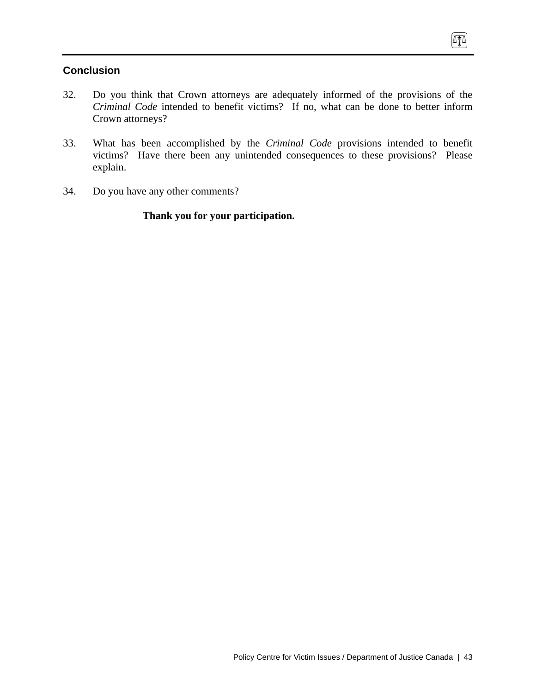## **Conclusion**

- 32. Do you think that Crown attorneys are adequately informed of the provisions of the *Criminal Code* intended to benefit victims? If no, what can be done to better inform Crown attorneys?
- 33. What has been accomplished by the *Criminal Code* provisions intended to benefit victims? Have there been any unintended consequences to these provisions? Please explain.
- 34. Do you have any other comments?

## **Thank you for your participation.**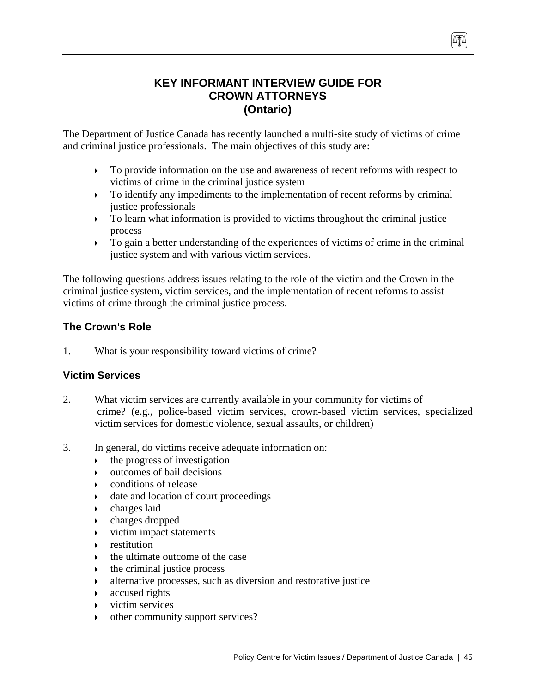## **KEY INFORMANT INTERVIEW GUIDE FOR CROWN ATTORNEYS (Ontario)**

TT

The Department of Justice Canada has recently launched a multi-site study of victims of crime and criminal justice professionals. The main objectives of this study are:

- $\triangleright$  To provide information on the use and awareness of recent reforms with respect to victims of crime in the criminal justice system
- $\triangleright$  To identify any impediments to the implementation of recent reforms by criminal justice professionals
- $\triangleright$  To learn what information is provided to victims throughout the criminal justice process
- $\triangleright$  To gain a better understanding of the experiences of victims of crime in the criminal justice system and with various victim services.

The following questions address issues relating to the role of the victim and the Crown in the criminal justice system, victim services, and the implementation of recent reforms to assist victims of crime through the criminal justice process.

## **The Crown's Role**

1. What is your responsibility toward victims of crime?

## **Victim Services**

- 2. What victim services are currently available in your community for victims of crime? (e.g., police-based victim services, crown-based victim services, specialized victim services for domestic violence, sexual assaults, or children)
- 3. In general, do victims receive adequate information on:
	- $\rightarrow$  the progress of investigation
	- $\rightarrow$  outcomes of bail decisions
	- $\rightarrow$  conditions of release
	- $\rightarrow$  date and location of court proceedings
	- $\rightarrow$  charges laid
	- $\rightarrow$  charges dropped
	- $\triangleright$  victim impact statements
	- ` restitution
	- ` the ultimate outcome of the case
	- $\rightarrow$  the criminal justice process
	- $\rightarrow$  alternative processes, such as diversion and restorative justice
	- $\triangleright$  accused rights
	- $\triangleright$  victim services
	- other community support services?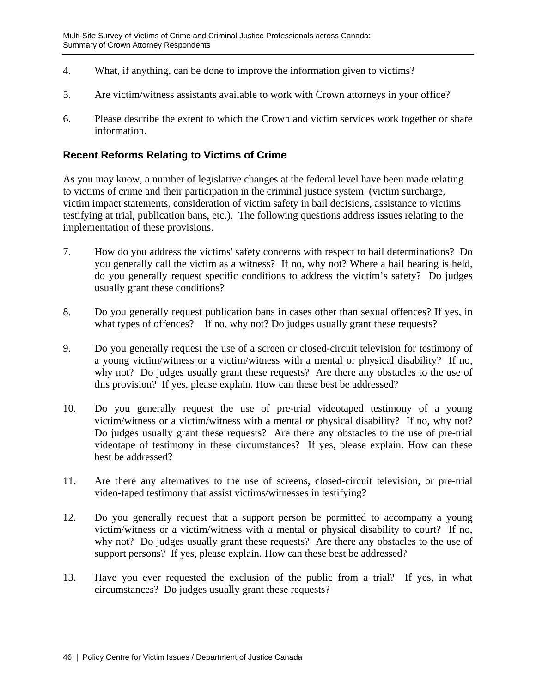- 4. What, if anything, can be done to improve the information given to victims?
- 5. Are victim/witness assistants available to work with Crown attorneys in your office?
- 6. Please describe the extent to which the Crown and victim services work together or share information.

## **Recent Reforms Relating to Victims of Crime**

As you may know, a number of legislative changes at the federal level have been made relating to victims of crime and their participation in the criminal justice system (victim surcharge, victim impact statements, consideration of victim safety in bail decisions, assistance to victims testifying at trial, publication bans, etc.). The following questions address issues relating to the implementation of these provisions.

- 7. How do you address the victims' safety concerns with respect to bail determinations? Do you generally call the victim as a witness? If no, why not? Where a bail hearing is held, do you generally request specific conditions to address the victim's safety? Do judges usually grant these conditions?
- 8. Do you generally request publication bans in cases other than sexual offences? If yes, in what types of offences? If no, why not? Do judges usually grant these requests?
- 9. Do you generally request the use of a screen or closed-circuit television for testimony of a young victim/witness or a victim/witness with a mental or physical disability? If no, why not? Do judges usually grant these requests? Are there any obstacles to the use of this provision? If yes, please explain. How can these best be addressed?
- 10. Do you generally request the use of pre-trial videotaped testimony of a young victim/witness or a victim/witness with a mental or physical disability? If no, why not? Do judges usually grant these requests? Are there any obstacles to the use of pre-trial videotape of testimony in these circumstances? If yes, please explain. How can these best be addressed?
- 11. Are there any alternatives to the use of screens, closed-circuit television, or pre-trial video-taped testimony that assist victims/witnesses in testifying?
- 12. Do you generally request that a support person be permitted to accompany a young victim/witness or a victim/witness with a mental or physical disability to court? If no, why not? Do judges usually grant these requests? Are there any obstacles to the use of support persons? If yes, please explain. How can these best be addressed?
- 13. Have you ever requested the exclusion of the public from a trial? If yes, in what circumstances? Do judges usually grant these requests?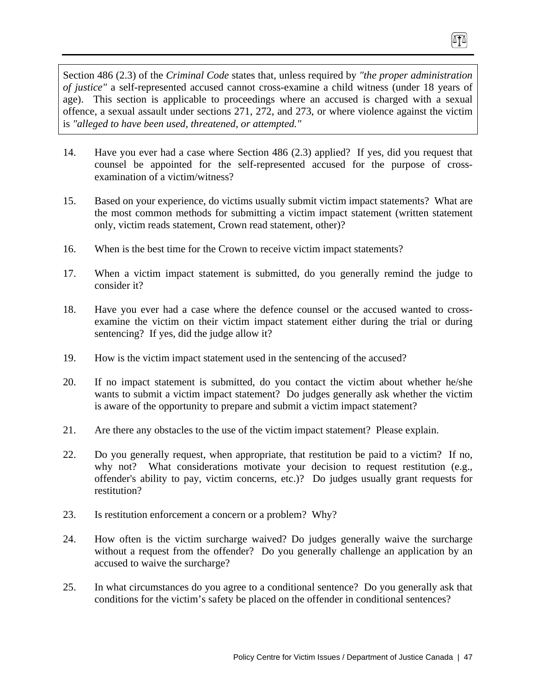Section 486 (2.3) of the *Criminal Code* states that, unless required by *"the proper administration of justice"* a self-represented accused cannot cross-examine a child witness (under 18 years of age). This section is applicable to proceedings where an accused is charged with a sexual offence, a sexual assault under sections 271, 272, and 273, or where violence against the victim is *"alleged to have been used, threatened, or attempted."*

TI

- 14. Have you ever had a case where Section 486 (2.3) applied? If yes, did you request that counsel be appointed for the self-represented accused for the purpose of crossexamination of a victim/witness?
- 15. Based on your experience, do victims usually submit victim impact statements? What are the most common methods for submitting a victim impact statement (written statement only, victim reads statement, Crown read statement, other)?
- 16. When is the best time for the Crown to receive victim impact statements?
- 17. When a victim impact statement is submitted, do you generally remind the judge to consider it?
- 18. Have you ever had a case where the defence counsel or the accused wanted to crossexamine the victim on their victim impact statement either during the trial or during sentencing? If yes, did the judge allow it?
- 19. How is the victim impact statement used in the sentencing of the accused?
- 20. If no impact statement is submitted, do you contact the victim about whether he/she wants to submit a victim impact statement? Do judges generally ask whether the victim is aware of the opportunity to prepare and submit a victim impact statement?
- 21. Are there any obstacles to the use of the victim impact statement? Please explain.
- 22. Do you generally request, when appropriate, that restitution be paid to a victim? If no, why not? What considerations motivate your decision to request restitution (e.g., offender's ability to pay, victim concerns, etc.)? Do judges usually grant requests for restitution?
- 23. Is restitution enforcement a concern or a problem? Why?
- 24. How often is the victim surcharge waived? Do judges generally waive the surcharge without a request from the offender? Do you generally challenge an application by an accused to waive the surcharge?
- 25. In what circumstances do you agree to a conditional sentence? Do you generally ask that conditions for the victim's safety be placed on the offender in conditional sentences?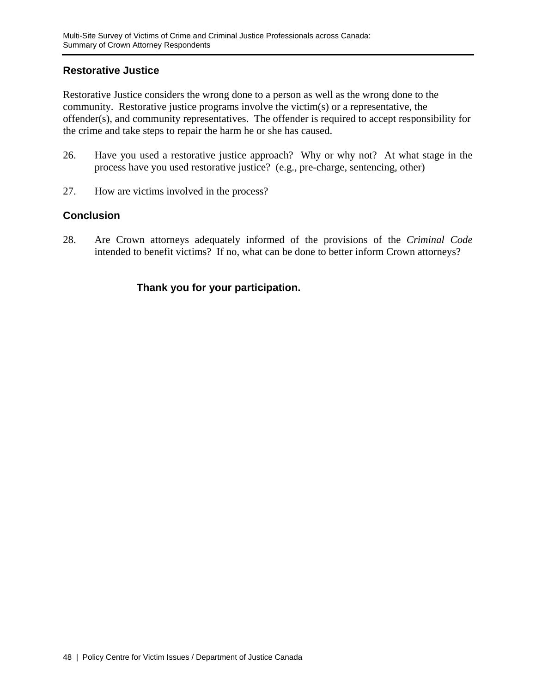#### **Restorative Justice**

Restorative Justice considers the wrong done to a person as well as the wrong done to the community. Restorative justice programs involve the victim(s) or a representative, the offender(s), and community representatives. The offender is required to accept responsibility for the crime and take steps to repair the harm he or she has caused.

- 26. Have you used a restorative justice approach? Why or why not? At what stage in the process have you used restorative justice? (e.g., pre-charge, sentencing, other)
- 27. How are victims involved in the process?

## **Conclusion**

28. Are Crown attorneys adequately informed of the provisions of the *Criminal Code* intended to benefit victims? If no, what can be done to better inform Crown attorneys?

## **Thank you for your participation.**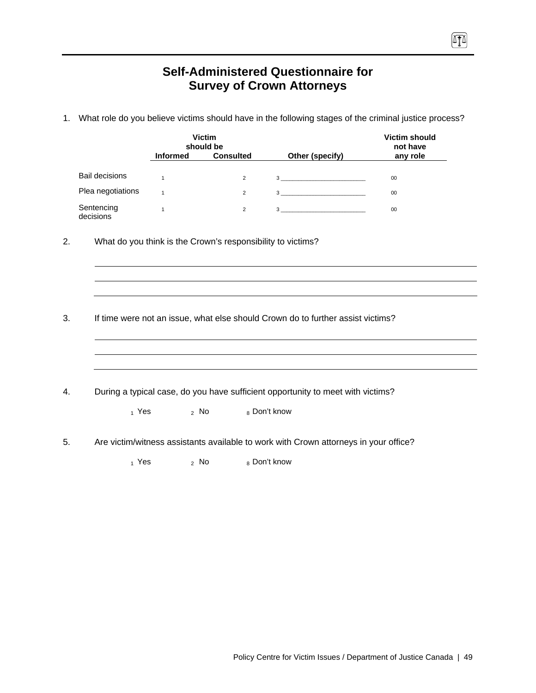# **Self-Administered Questionnaire for Survey of Crown Attorneys**

 $\sqrt{10}$ 

1. What role do you believe victims should have in the following stages of the criminal justice process?

|    |                         | <b>Informed</b> | <b>Victim</b><br>should be<br><b>Consulted</b> | Other (specify)                                                                                                                                                                                                                                                                                                                                                                | <b>Victim should</b><br>not have<br>any role |
|----|-------------------------|-----------------|------------------------------------------------|--------------------------------------------------------------------------------------------------------------------------------------------------------------------------------------------------------------------------------------------------------------------------------------------------------------------------------------------------------------------------------|----------------------------------------------|
|    | <b>Bail decisions</b>   |                 |                                                |                                                                                                                                                                                                                                                                                                                                                                                |                                              |
|    |                         | $\mathbf{1}$    | $\overline{2}$                                 |                                                                                                                                                                                                                                                                                                                                                                                | $00\,$                                       |
|    | Plea negotiations       | $\mathbf{1}$    | $\overline{2}$                                 | $\begin{array}{c c c c c} \hline \rule{0pt}{16pt} \rule{0pt}{2.5ex} \rule{0pt}{2.5ex} \rule{0pt}{2.5ex} \rule{0pt}{2.5ex} \rule{0pt}{2.5ex} \rule{0pt}{2.5ex} \rule{0pt}{2.5ex} \rule{0pt}{2.5ex} \rule{0pt}{2.5ex} \rule{0pt}{2.5ex} \rule{0pt}{2.5ex} \rule{0pt}{2.5ex} \rule{0pt}{2.5ex} \rule{0pt}{2.5ex} \rule{0pt}{2.5ex} \rule{0pt}{2.5ex} \rule{0pt}{2.5ex} \rule{0pt$ | 00                                           |
|    | Sentencing<br>decisions | $\mathbf{1}$    | $\overline{2}$                                 | $3 \left( \frac{1}{2} \right)$                                                                                                                                                                                                                                                                                                                                                 | 00                                           |
| 2. |                         |                 |                                                | What do you think is the Crown's responsibility to victims?                                                                                                                                                                                                                                                                                                                    |                                              |
|    |                         |                 |                                                |                                                                                                                                                                                                                                                                                                                                                                                |                                              |
|    |                         |                 |                                                |                                                                                                                                                                                                                                                                                                                                                                                |                                              |
| 3. |                         |                 |                                                | If time were not an issue, what else should Crown do to further assist victims?                                                                                                                                                                                                                                                                                                |                                              |
| 4. |                         |                 |                                                | During a typical case, do you have sufficient opportunity to meet with victims?                                                                                                                                                                                                                                                                                                |                                              |
|    | $_1$ Yes                |                 | $2$ No                                         | 8 Don't know                                                                                                                                                                                                                                                                                                                                                                   |                                              |
| 5. |                         |                 |                                                | Are victim/witness assistants available to work with Crown attorneys in your office?                                                                                                                                                                                                                                                                                           |                                              |
|    | $_1$ Yes                | $2$ No          |                                                | 8 Don't know                                                                                                                                                                                                                                                                                                                                                                   |                                              |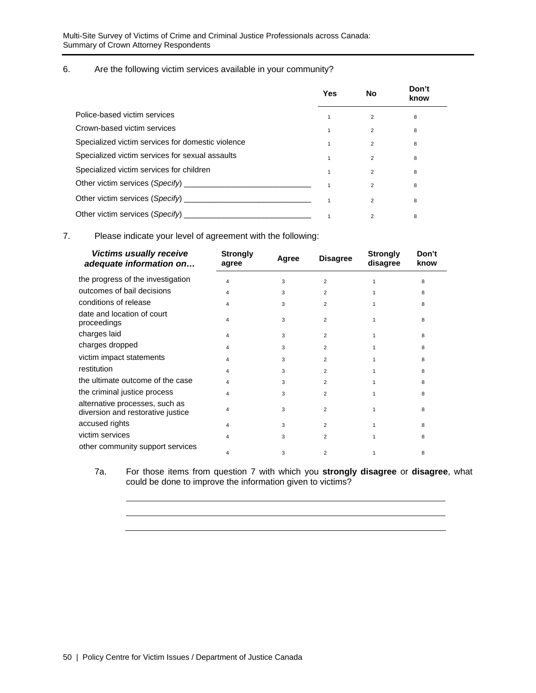#### 6. Are the following victim services available in your community?

|                                                                                                                                                                                                                                     | Yes          | No             | Don't<br>know |  |
|-------------------------------------------------------------------------------------------------------------------------------------------------------------------------------------------------------------------------------------|--------------|----------------|---------------|--|
| Police-based victim services                                                                                                                                                                                                        |              | 2              | 8             |  |
| Crown-based victim services                                                                                                                                                                                                         |              | $\overline{2}$ | 8             |  |
| Specialized victim services for domestic violence                                                                                                                                                                                   |              | $\overline{2}$ | 8             |  |
| Specialized victim services for sexual assaults                                                                                                                                                                                     |              | $\overline{2}$ | 8             |  |
| Specialized victim services for children                                                                                                                                                                                            | $\mathbf{1}$ | $\mathfrak{p}$ | 8             |  |
| Other victim services (Specify) <b>Example 20</b> Note that the control of the control of the control of the control of the control of the control of the control of the control of the control of the control of the control of th |              | $\overline{2}$ | 8             |  |
|                                                                                                                                                                                                                                     |              | $\overline{2}$ | 8             |  |
| Other victim services (Specify)                                                                                                                                                                                                     |              | 2              | 8             |  |

7. Please indicate your level of agreement with the following:

| <b>Victims usually receive</b><br>adequate information on           | <b>Strongly</b><br>agree | Agree | <b>Disagree</b> | <b>Strongly</b><br>disagree | Don't<br>know |
|---------------------------------------------------------------------|--------------------------|-------|-----------------|-----------------------------|---------------|
| the progress of the investigation                                   | 4                        | 3     | 2               |                             | 8             |
| outcomes of bail decisions                                          | 4                        | 3     | 2               |                             | 8             |
| conditions of release                                               | 4                        | 3     | 2               |                             | 8             |
| date and location of court<br>proceedings                           | 4                        | 3     | $\overline{2}$  |                             | 8             |
| charges laid                                                        | 4                        | 3     | $\overline{2}$  |                             | 8             |
| charges dropped                                                     | 4                        | 3     | $\overline{2}$  |                             | 8             |
| victim impact statements                                            | 4                        | 3     | $\overline{2}$  |                             | 8             |
| restitution                                                         | 4                        | 3     | $\overline{2}$  |                             | 8             |
| the ultimate outcome of the case                                    | 4                        | 3     | $\overline{2}$  |                             | 8             |
| the criminal justice process                                        | 4                        | 3     | $\overline{2}$  |                             | 8             |
| alternative processes, such as<br>diversion and restorative justice | 4                        | 3     | $\overline{2}$  |                             | 8             |
| accused rights                                                      | 4                        | 3     | 2               |                             | 8             |
| victim services                                                     | Δ                        | 3     | 2               |                             | 8             |
| other community support services                                    | 4                        | 3     | $\overline{2}$  |                             | 8             |

7a. For those items from question 7 with which you **strongly disagree** or **disagree**, what could be done to improve the information given to victims?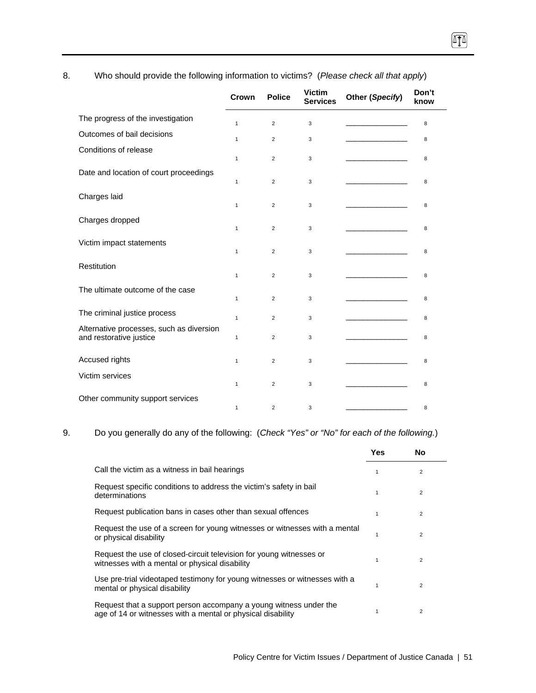|                                                                     | Crown        | <b>Police</b>  | <b>Victim</b><br><b>Services</b> | Other (Specify) | Don't<br>know |
|---------------------------------------------------------------------|--------------|----------------|----------------------------------|-----------------|---------------|
| The progress of the investigation                                   | $\mathbf{1}$ | 2              | 3                                |                 | 8             |
| Outcomes of bail decisions                                          | $\mathbf{1}$ | 2              | 3                                |                 | 8             |
| Conditions of release                                               |              |                |                                  |                 |               |
|                                                                     | $\mathbf{1}$ | 2              | 3                                |                 | 8             |
| Date and location of court proceedings                              | 1            | 2              | 3                                |                 | 8             |
| Charges laid                                                        |              |                |                                  |                 |               |
|                                                                     | $\mathbf{1}$ | 2              | 3                                |                 | 8             |
| Charges dropped                                                     | $\mathbf{1}$ | $\overline{2}$ | 3                                |                 | 8             |
| Victim impact statements                                            |              |                |                                  |                 |               |
| Restitution                                                         | $\mathbf{1}$ | $\overline{2}$ | 3                                |                 | 8             |
|                                                                     | $\mathbf{1}$ | $\overline{2}$ | 3                                |                 | 8             |
| The ultimate outcome of the case                                    |              |                |                                  |                 |               |
|                                                                     | 1            | 2              | 3                                |                 | 8             |
| The criminal justice process                                        | $\mathbf{1}$ | $\overline{2}$ | 3                                |                 | 8             |
| Alternative processes, such as diversion<br>and restorative justice | 1            | $\overline{2}$ | 3                                |                 | 8             |
|                                                                     |              |                |                                  |                 |               |
| Accused rights                                                      | $\mathbf{1}$ | $\overline{2}$ | 3                                |                 | 8             |
| Victim services                                                     | $\mathbf{1}$ | $\overline{2}$ | 3                                |                 | 8             |
| Other community support services                                    |              |                |                                  |                 |               |
|                                                                     | 1            | $\overline{2}$ | 3                                |                 | 8             |

8. Who should provide the following information to victims? (*Please check all that apply*)

 $\sqrt{10}$ 

#### 9. Do you generally do any of the following: (*Check "Yes" or "No" for each of the following.*)

|                                                                                                                                  | Yes | No             |  |
|----------------------------------------------------------------------------------------------------------------------------------|-----|----------------|--|
| Call the victim as a witness in bail hearings                                                                                    | 1   | 2              |  |
| Request specific conditions to address the victim's safety in bail<br>determinations                                             | 1   | 2              |  |
| Request publication bans in cases other than sexual offences                                                                     |     | 2              |  |
| Request the use of a screen for young witnesses or witnesses with a mental<br>or physical disability                             |     | 2              |  |
| Request the use of closed-circuit television for young witnesses or<br>witnesses with a mental or physical disability            | 1   | 2              |  |
| Use pre-trial videotaped testimony for young witnesses or witnesses with a<br>mental or physical disability                      | 1   | 2              |  |
| Request that a support person accompany a young witness under the<br>age of 14 or witnesses with a mental or physical disability | 1   | $\overline{2}$ |  |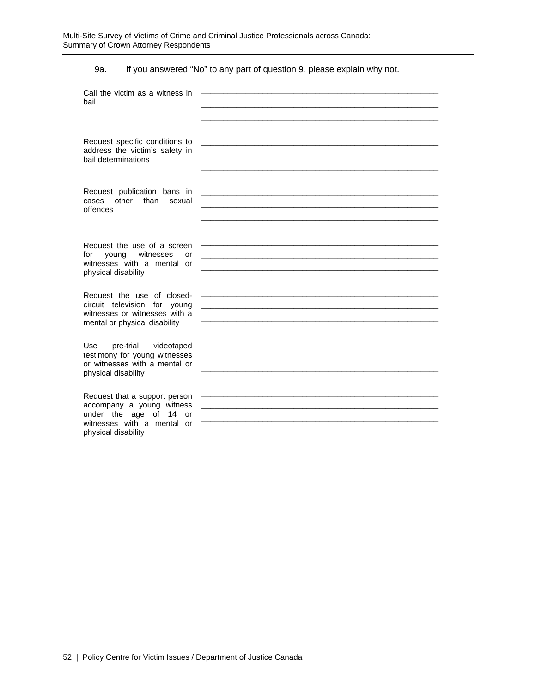9a. If you answered "No" to any part of question 9, please explain why not.

| Call the victim as a witness in<br>bail                                                                                                   |                                                                                                                      |
|-------------------------------------------------------------------------------------------------------------------------------------------|----------------------------------------------------------------------------------------------------------------------|
| Request specific conditions to<br>address the victim's safety in<br>bail determinations                                                   | <u> 1989 - Johann Stoff, Amerikaansk politiker (* 1908)</u>                                                          |
| Request publication bans in<br>other than<br>cases<br>sexual<br>offences                                                                  |                                                                                                                      |
| Request the use of a screen<br>young witnesses<br>for<br>or<br>witnesses with a mental or<br>physical disability                          | <u> 1980 - Johann Stein, marwolaethau a bhann an t-</u>                                                              |
| Request the use of closed-<br>circuit television for young<br>witnesses or witnesses with a<br>mental or physical disability              | and the control of the control of the control of the control of the control of the control of the control of the     |
| Use<br>pre-trial<br>videotaped<br>testimony for young witnesses<br>or witnesses with a mental or<br>physical disability                   |                                                                                                                      |
| Request that a support person<br>accompany a young witness<br>under the age of 14 or<br>witnesses with a mental or<br>physical disability | <u> 1989 - Johann Stein, marwolaethau a bhann an t-Amhain an t-Amhain an t-Amhain an t-Amhain an t-Amhain an t-A</u> |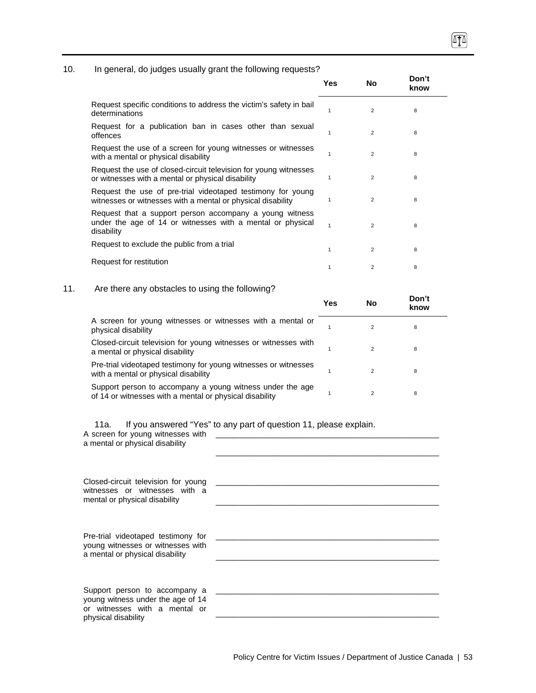#### 10. In general, do judges usually grant the following requests?

|                                                                                                                                     | Yes | No             | Don't<br>know |  |
|-------------------------------------------------------------------------------------------------------------------------------------|-----|----------------|---------------|--|
| Request specific conditions to address the victim's safety in bail<br>determinations                                                |     | $\overline{2}$ | 8             |  |
| Request for a publication ban in cases other than sexual<br>offences                                                                |     | $\mathcal{P}$  | 8             |  |
| Request the use of a screen for young witnesses or witnesses<br>with a mental or physical disability                                |     | $\overline{2}$ | 8             |  |
| Request the use of closed-circuit television for young witnesses<br>or witnesses with a mental or physical disability               |     | 2              | 8             |  |
| Request the use of pre-trial videotaped testimony for young<br>witnesses or witnesses with a mental or physical disability          |     | $\overline{2}$ | 8             |  |
| Request that a support person accompany a young witness<br>under the age of 14 or witnesses with a mental or physical<br>disability |     | 2              | 8             |  |
| Request to exclude the public from a trial                                                                                          | 1   | $\overline{2}$ | 8             |  |
| Request for restitution                                                                                                             |     | $\overline{2}$ | 8             |  |
|                                                                                                                                     |     |                |               |  |

#### 11. Are there any obstacles to using the following?

|                                                                                                                      | Yes | No | Don't<br>know |
|----------------------------------------------------------------------------------------------------------------------|-----|----|---------------|
| A screen for young witnesses or witnesses with a mental or<br>physical disability                                    |     |    | 8             |
| Closed-circuit television for young witnesses or witnesses with<br>a mental or physical disability                   |     | 2  | 8             |
| Pre-trial videotaped testimony for young witnesses or witnesses<br>with a mental or physical disability              |     | 2  | 8             |
| Support person to accompany a young witness under the age<br>of 14 or witnesses with a mental or physical disability |     |    | 8             |

11a. If you answered "Yes" to any part of question 11, please explain.

| A screen for young witnesses with<br>a mental or physical disability                                                       | $\frac{1}{1}$ and $\frac{1}{1}$ and $\frac{1}{1}$ and $\frac{1}{1}$ are to any pair or quoditon in product oxplant. |
|----------------------------------------------------------------------------------------------------------------------------|---------------------------------------------------------------------------------------------------------------------|
| Closed-circuit television for young<br>witnesses or witnesses with a<br>mental or physical disability                      |                                                                                                                     |
| Pre-trial videotaped testimony for<br>young witnesses or witnesses with<br>a mental or physical disability                 |                                                                                                                     |
| Support person to accompany a<br>young witness under the age of 14<br>or witnesses with a mental or<br>physical disability |                                                                                                                     |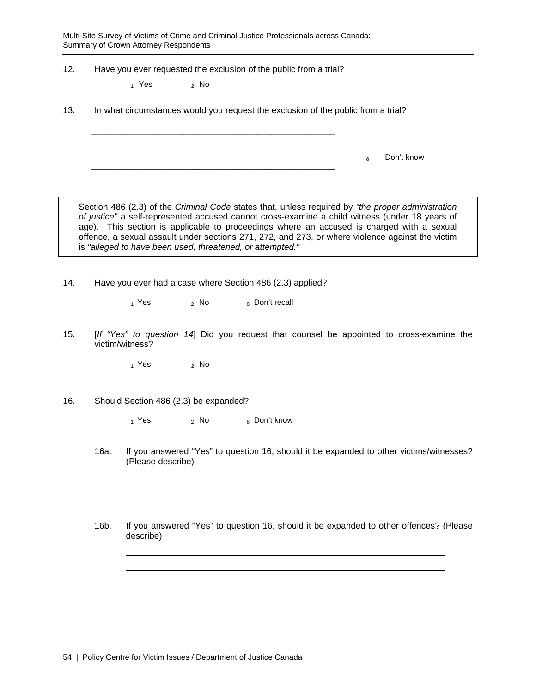Multi-Site Survey of Victims of Crime and Criminal Justice Professionals across Canada: Summary of Crown Attorney Respondents

\_\_\_\_\_\_\_\_\_\_\_\_\_\_\_\_\_\_\_\_\_\_\_\_\_\_\_\_\_\_\_\_\_\_\_\_\_\_\_\_\_\_\_\_\_\_\_\_\_\_ \_\_\_\_\_\_\_\_\_\_\_\_\_\_\_\_\_\_\_\_\_\_\_\_\_\_\_\_\_\_\_\_\_\_\_\_\_\_\_\_\_\_\_\_\_\_\_\_\_\_

12. Have you ever requested the exclusion of the public from a trial?

 $_1$  Yes  $_2$  No

13. In what circumstances would you request the exclusion of the public from a trial?

\_\_\_\_\_\_\_\_\_\_\_\_\_\_\_\_\_\_\_\_\_\_\_\_\_\_\_\_\_\_\_\_\_\_\_\_\_\_\_\_\_\_\_\_\_\_\_\_\_\_ 8 Don't know

Section 486 (2.3) of the *Criminal Code* states that, unless required by *"the proper administration of justice"* a self-represented accused cannot cross-examine a child witness (under 18 years of age). This section is applicable to proceedings where an accused is charged with a sexual offence, a sexual assault under sections 271, 272, and 273, or where violence against the victim is *"alleged to have been used, threatened, or attempted."*

14. Have you ever had a case where Section 486 (2.3) applied?

 $_1$  Yes  $_2$  No  $_8$  Don't recall

15. [*If "Yes" to question 14*] Did you request that counsel be appointed to cross-examine the victim/witness?

 $_1$  Yes  $_2$  No

16. Should Section 486 (2.3) be expanded?

 $_1$  Yes  $_2$  No  $_8$  Don't know

16a. If you answered "Yes" to question 16, should it be expanded to other victims/witnesses? (Please describe)

16b. If you answered "Yes" to question 16, should it be expanded to other offences? (Please describe)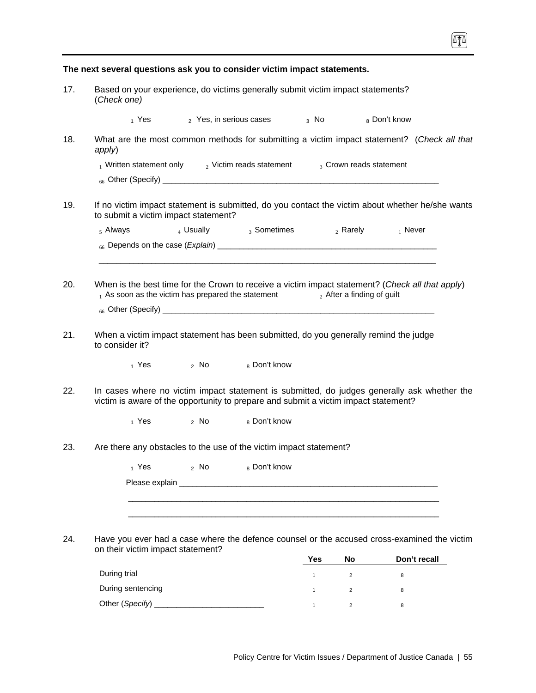|     |                 |                                                       |        | The next several questions ask you to consider victim impact statements.             |                |                               |                                                                                                  |
|-----|-----------------|-------------------------------------------------------|--------|--------------------------------------------------------------------------------------|----------------|-------------------------------|--------------------------------------------------------------------------------------------------|
| 17. | (Check one)     |                                                       |        | Based on your experience, do victims generally submit victim impact statements?      |                |                               |                                                                                                  |
|     |                 |                                                       |        | $_1$ Yes $_2$ Yes, in serious cases                                                  | $3 \text{ No}$ |                               | 8 Don't know                                                                                     |
| 18. | apply)          |                                                       |        |                                                                                      |                |                               | What are the most common methods for submitting a victim impact statement? (Check all that       |
|     |                 |                                                       |        | $_1$ Written statement only $_2$ Victim reads statement $_3$ Crown reads statement   |                |                               |                                                                                                  |
|     |                 |                                                       |        |                                                                                      |                |                               |                                                                                                  |
| 19. |                 | to submit a victim impact statement?                  |        |                                                                                      |                |                               | If no victim impact statement is submitted, do you contact the victim about whether he/she wants |
|     | $5$ Always      |                                                       |        | 4 Usually $_3$ Sometimes $_2$ Rarely $_1$ Never                                      |                |                               |                                                                                                  |
|     |                 |                                                       |        |                                                                                      |                |                               |                                                                                                  |
|     |                 |                                                       |        |                                                                                      |                |                               |                                                                                                  |
| 20. |                 | $_1$ As soon as the victim has prepared the statement |        |                                                                                      |                | $_2$ After a finding of guilt | When is the best time for the Crown to receive a victim impact statement? (Check all that apply) |
|     |                 |                                                       |        |                                                                                      |                |                               |                                                                                                  |
| 21. | to consider it? |                                                       |        | When a victim impact statement has been submitted, do you generally remind the judge |                |                               |                                                                                                  |
|     |                 | $_1$ Yes $_2$ No $_8$ Don't know                      |        |                                                                                      |                |                               |                                                                                                  |
| 22. |                 |                                                       |        | victim is aware of the opportunity to prepare and submit a victim impact statement?  |                |                               | In cases where no victim impact statement is submitted, do judges generally ask whether the      |
|     |                 | $_1$ Yes $_2$ No                                      |        | 8 Don't know                                                                         |                |                               |                                                                                                  |
| 23. |                 |                                                       |        | Are there any obstacles to the use of the victim impact statement?                   |                |                               |                                                                                                  |
|     |                 | 1 Yes                                                 | $2$ No | 8 Don't know                                                                         |                |                               |                                                                                                  |
|     |                 |                                                       |        |                                                                                      |                |                               |                                                                                                  |
|     |                 |                                                       |        |                                                                                      |                |                               |                                                                                                  |
|     |                 |                                                       |        |                                                                                      |                |                               |                                                                                                  |
| 24. |                 | on their victim impact statement?                     |        |                                                                                      |                |                               | Have you ever had a case where the defence counsel or the accused cross-examined the victim      |
|     |                 |                                                       |        |                                                                                      | Yes            | No                            | Don't recall                                                                                     |
|     | During trial    |                                                       |        |                                                                                      | $\mathbf{1}$   | $\overline{2}$                | 8                                                                                                |
|     |                 | During sentencing                                     |        |                                                                                      | $\mathbf{1}$   | $\overline{c}$                | 8                                                                                                |

Other (*Specify*) \_\_\_\_\_\_\_\_\_\_\_\_\_\_\_\_\_\_\_\_\_\_\_\_\_ 1 <sup>2</sup> <sup>8</sup>

网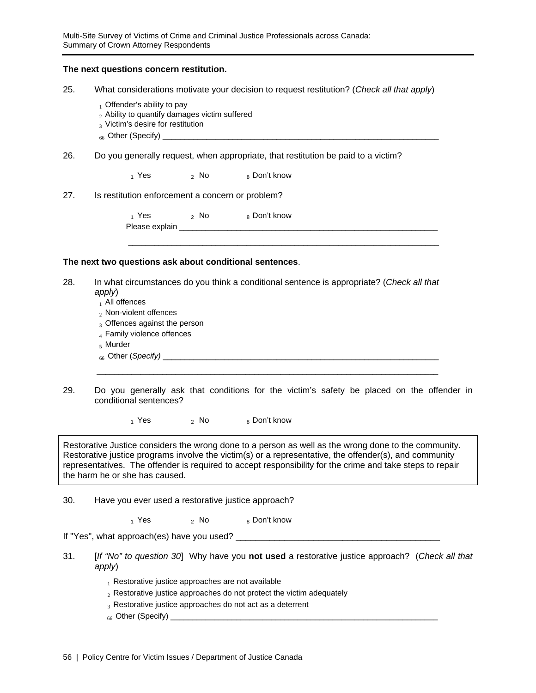#### **The next questions concern restitution.**

- 25. What considerations motivate your decision to request restitution? (*Check all that apply*)
	- $_1$  Offender's ability to pay
	- $_2$  Ability to quantify damages victim suffered
	- 3 Victim's desire for restitution
	- $_{66}$  Other (Specify)
- 26. Do you generally request, when appropriate, that restitution be paid to a victim?

 $_1$  Yes  $_2$  No  $_8$  Don't know

27. Is restitution enforcement a concern or problem?

 $_1$  Yes  $_2$  No  $_8$  Don't know Please explain \_

#### **The next two questions ask about conditional sentences**.

28. In what circumstances do you think a conditional sentence is appropriate? (*Check all that apply*)

 $\mathcal{L}_\text{max}$  , and the contribution of the contribution of the contribution of the contribution of the contribution of the contribution of the contribution of the contribution of the contribution of the contribution of t

\_\_\_\_\_\_\_\_\_\_\_\_\_\_\_\_\_\_\_\_\_\_\_\_\_\_\_\_\_\_\_\_\_\_\_\_\_\_\_\_\_\_\_\_\_\_\_\_\_\_\_\_\_\_\_\_\_\_\_\_\_\_\_\_\_\_\_\_\_\_\_

- $_1$  All offences
- <sub>2</sub> Non-violent offences
- 3 Offences against the person
- 4 Family violence offences
- <sup>5</sup>Murder
- <sup>66</sup>Other (*Specify)* \_\_\_\_\_\_\_\_\_\_\_\_\_\_\_\_\_\_\_\_\_\_\_\_\_\_\_\_\_\_\_\_\_\_\_\_\_\_\_\_\_\_\_\_\_\_\_\_\_\_\_\_\_\_\_\_\_\_\_\_\_\_\_
- 29. Do you generally ask that conditions for the victim's safety be placed on the offender in conditional sentences?

 $_1$  Yes  $_2$  No  $_8$  Don't know

Restorative Justice considers the wrong done to a person as well as the wrong done to the community. Restorative justice programs involve the victim(s) or a representative, the offender(s), and community representatives. The offender is required to accept responsibility for the crime and take steps to repair the harm he or she has caused.

- 30. Have you ever used a restorative justice approach?
	- $1$  Yes  $2$  No  $8$  Don't know

If "Yes", what approach(es) have you used? \_\_\_\_\_\_\_\_\_\_\_\_\_\_\_\_\_\_\_\_\_\_\_\_\_\_\_\_\_\_\_\_\_\_\_\_\_\_\_\_\_\_

- 31. [*If "No" to question 30*] Why have you **not used** a restorative justice approach? (*Check all that apply*)
	- $<sub>1</sub>$  Restorative justice approaches are not available</sub>
	- $2R$  Restorative justice approaches do not protect the victim adequately
	- 3 Restorative justice approaches do not act as a deterrent
	- 66 Other (Specify) \_\_\_\_\_\_\_\_\_\_\_\_\_\_\_\_\_\_\_\_\_\_\_\_\_\_\_\_\_\_\_\_\_\_\_\_\_\_\_\_\_\_\_\_\_\_\_\_\_\_\_\_\_\_\_\_\_\_\_\_\_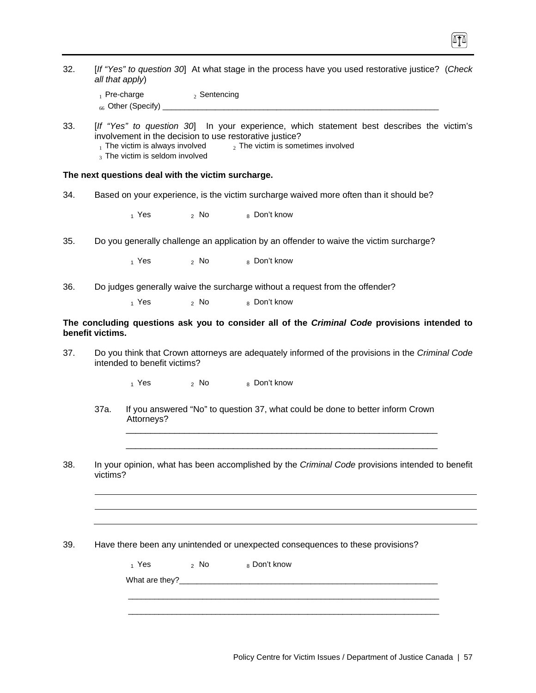| 32. | all that apply)  |                                                                          |                           | [If "Yes" to question 30] At what stage in the process have you used restorative justice? (Check                                                                                                 |
|-----|------------------|--------------------------------------------------------------------------|---------------------------|--------------------------------------------------------------------------------------------------------------------------------------------------------------------------------------------------|
|     |                  | $_1$ Pre-charge                                                          | $2$ Sentencing            |                                                                                                                                                                                                  |
| 33. |                  | $_1$ The victim is always involved<br>$_3$ The victim is seldom involved |                           | [If "Yes" to question 30] In your experience, which statement best describes the victim's<br>involvement in the decision to use restorative justice?<br>$_2$ The victim is sometimes involved    |
|     |                  | The next questions deal with the victim surcharge.                       |                           |                                                                                                                                                                                                  |
| 34. |                  |                                                                          |                           | Based on your experience, is the victim surcharge waived more often than it should be?                                                                                                           |
|     |                  | $1$ Yes                                                                  | $2$ No                    | 8 Don't know                                                                                                                                                                                     |
| 35. |                  |                                                                          |                           | Do you generally challenge an application by an offender to waive the victim surcharge?                                                                                                          |
|     |                  | $_1$ Yes                                                                 | 2 NQ                      | 8 Don't know                                                                                                                                                                                     |
| 36. |                  |                                                                          |                           | Do judges generally waive the surcharge without a request from the offender?                                                                                                                     |
|     |                  | $1$ Yes                                                                  | $2$ No                    | 8 Don't know                                                                                                                                                                                     |
| 37. | benefit victims. | intended to benefit victims?                                             |                           | The concluding questions ask you to consider all of the Criminal Code provisions intended to<br>Do you think that Crown attorneys are adequately informed of the provisions in the Criminal Code |
|     |                  | $1$ Yes                                                                  | $\,$ <sub>2</sub> No $\,$ | 8 Don't know                                                                                                                                                                                     |
|     | 37a.             | Attorneys?                                                               |                           | If you answered "No" to question 37, what could be done to better inform Crown                                                                                                                   |
| 38. | victims?         |                                                                          |                           | In your opinion, what has been accomplished by the Criminal Code provisions intended to benefit                                                                                                  |
|     |                  |                                                                          |                           |                                                                                                                                                                                                  |
| 39. |                  |                                                                          |                           | Have there been any unintended or unexpected consequences to these provisions?                                                                                                                   |
|     |                  | $_1$ Yes                                                                 | $2$ No                    | 8 Don't know                                                                                                                                                                                     |
|     |                  |                                                                          |                           |                                                                                                                                                                                                  |

 $\boxed{1}$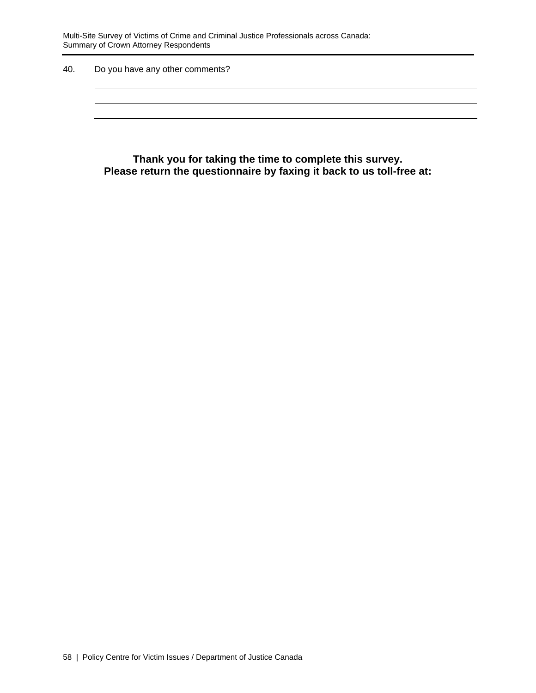Multi-Site Survey of Victims of Crime and Criminal Justice Professionals across Canada: Summary of Crown Attorney Respondents

40. Do you have any other comments?

**Thank you for taking the time to complete this survey. Please return the questionnaire by faxing it back to us toll-free at:**